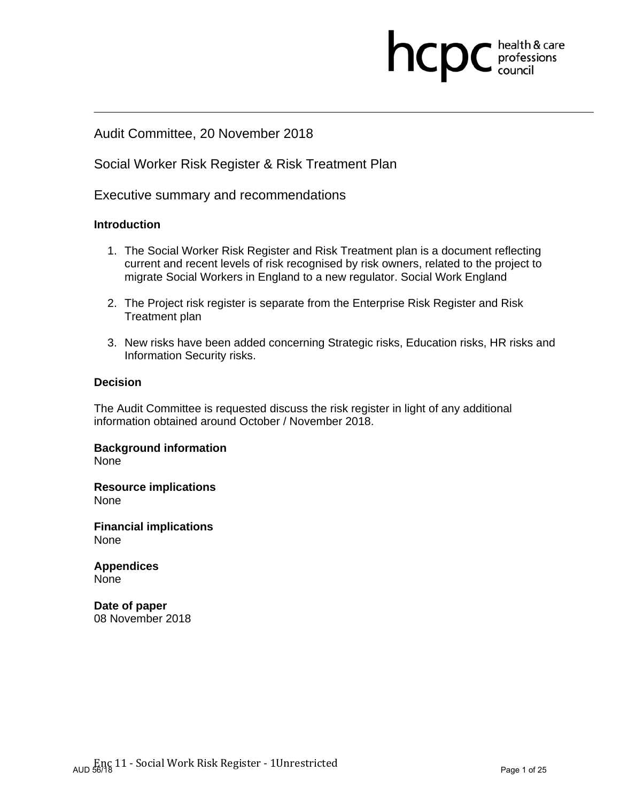## Audit Committee, 20 November 2018

## Social Worker Risk Register & Risk Treatment Plan

Executive summary and recommendations

## **Introduction**

- 1. The Social Worker Risk Register and Risk Treatment plan is a document reflecting current and recent levels of risk recognised by risk owners, related to the project to migrate Social Workers in England to a new regulator. Social Work England
- 2. The Project risk register is separate from the Enterprise Risk Register and Risk Treatment plan
- 3. New risks have been added concerning Strategic risks, Education risks, HR risks and Information Security risks.

## **Decision**

The Audit Committee is requested discuss the risk register in light of any additional information obtained around October / November 2018.

**Background information**  None

**Resource implications**  None

**Financial implications**  None

**Appendices**  None

**Date of paper**  08 November 2018 **health & care**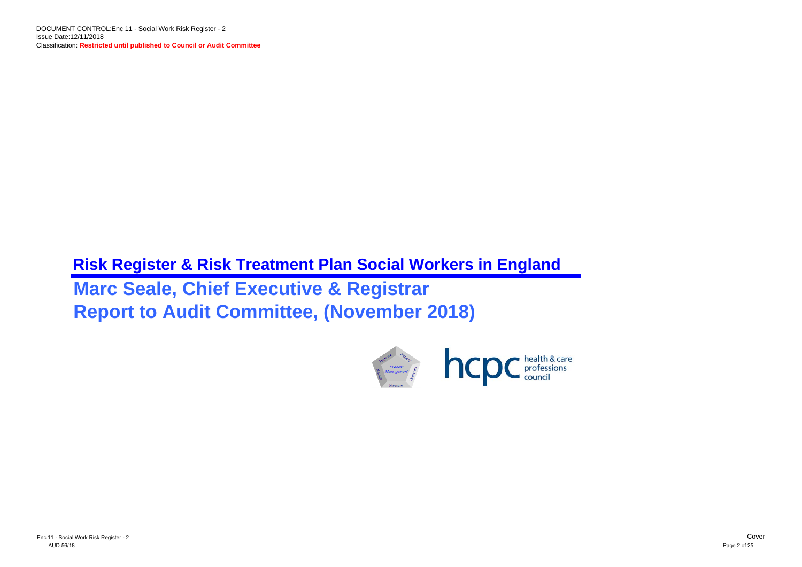# **Risk Register & Risk Treatment Plan Social Workers in England Marc Seale, Chief Executive & Registrar Report to Audit Committee, (November 2018)**

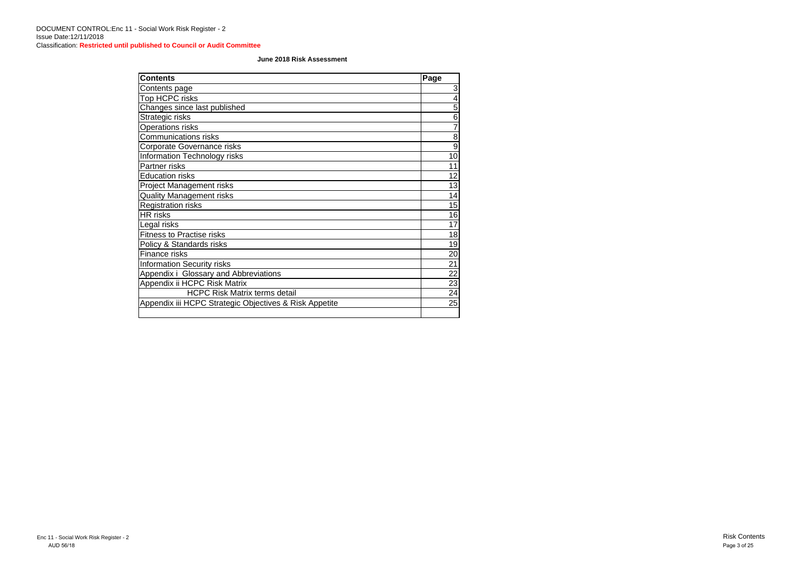| <b>Contents</b>                                        | Page            |
|--------------------------------------------------------|-----------------|
| Contents page                                          | 3               |
| Top HCPC risks                                         | 4               |
| Changes since last published                           | $\overline{5}$  |
| Strategic risks                                        | $6\phantom{1}6$ |
| <b>Operations risks</b>                                | $\overline{7}$  |
| <b>Communications risks</b>                            | 8               |
| Corporate Governance risks                             | $\overline{9}$  |
| Information Technology risks                           | 10              |
| Partner risks                                          | 11              |
| <b>Education risks</b>                                 | 12              |
| <b>Project Management risks</b>                        | 13              |
| <b>Quality Management risks</b>                        | 14              |
| <b>Registration risks</b>                              | 15              |
| <b>HR</b> risks                                        | 16              |
| Legal risks                                            | 17              |
| <b>Fitness to Practise risks</b>                       | 18              |
| Policy & Standards risks                               | 19              |
| Finance risks                                          | 20              |
| <b>Information Security risks</b>                      | 21              |
| Appendix i Glossary and Abbreviations                  | 22              |
| Appendix ii HCPC Risk Matrix                           | 23              |
| <b>HCPC Risk Matrix terms detail</b>                   | 24              |
| Appendix iii HCPC Strategic Objectives & Risk Appetite | 25              |
|                                                        |                 |

### **June 2018 Risk Assessment**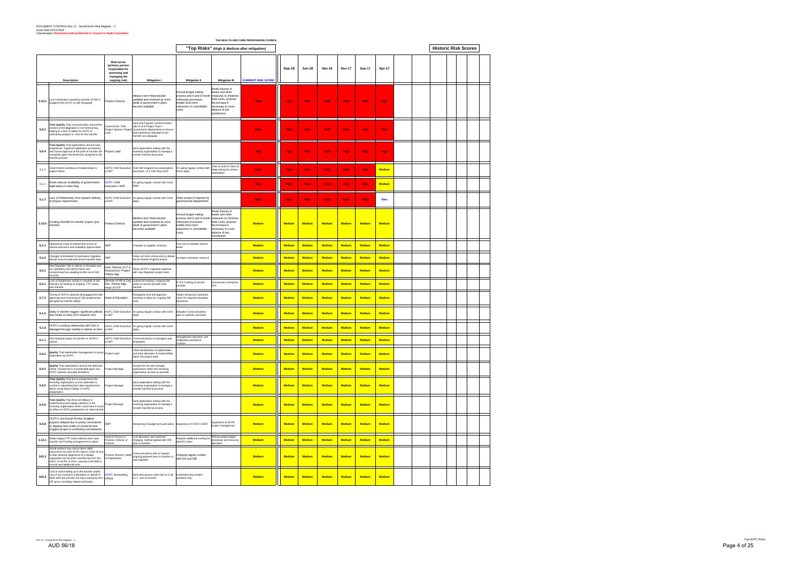|        |                                                                                                                                                                                                                                                                        |                                                                                                           |                                                                                                                                                                                         | THE HEALTH AND CARE PROFESSIONS COUNCIL                                                                                                |                                                                                                                                                                  |                           |               |               |               |                                |               |               |  |                             |  |
|--------|------------------------------------------------------------------------------------------------------------------------------------------------------------------------------------------------------------------------------------------------------------------------|-----------------------------------------------------------------------------------------------------------|-----------------------------------------------------------------------------------------------------------------------------------------------------------------------------------------|----------------------------------------------------------------------------------------------------------------------------------------|------------------------------------------------------------------------------------------------------------------------------------------------------------------|---------------------------|---------------|---------------|---------------|--------------------------------|---------------|---------------|--|-----------------------------|--|
|        |                                                                                                                                                                                                                                                                        |                                                                                                           |                                                                                                                                                                                         |                                                                                                                                        | "Top Risks" (High & Medium after mitigation)                                                                                                                     |                           |               |               |               |                                |               |               |  | <b>Historic Risk Scores</b> |  |
|        | <b>Description</b>                                                                                                                                                                                                                                                     | <b>Risk owner</b><br>(primary person<br>responsible for<br>assessing and<br>managing the<br>ongoing risk) | <b>Mitigation I</b>                                                                                                                                                                     | <b>Mitigation II</b>                                                                                                                   | <b>Mitigation III</b>                                                                                                                                            | <b>CURRENT RISK SCORE</b> | Sep-18        | <b>Jun-18</b> | Mar-18        | <b>Nov-17</b>                  | <b>Sep-17</b> | Apr-17        |  |                             |  |
| S.15.1 | Lost contribution caused by transfer of SW in<br>England from HCPC to SW (England)                                                                                                                                                                                     | <b>Finance Director</b>                                                                                   | Medium term financial plan<br>updated and reviewed as more<br>detail of government's plans<br>become available                                                                          | Annual budget setting<br>process and 6 and 9 month<br>reforecast processes<br>enable short term<br>reductions in controllable<br>costs | Break clauses in<br>leases and other<br>measures to minimise<br>fixed costs; propose<br>fee increase if<br>necessary to cover<br>balance of lost<br>contribution | <b>High</b>               | <b>High</b>   | <b>High</b>   | <b>High</b>   | <b>High</b>                    | <b>High</b>   | <b>High</b>   |  |                             |  |
| S.8.1  | Time Quality That communication around the<br>content of the legislation is not forthcoming,<br>eading to a lack of ability for HCPC to<br>sufficiently prepare in time for the transfer                                                                               | Government / DfE;<br>Lead                                                                                 | Early and frequent communication<br>with D of E Project Team /<br>Project Sponsor Project Government departments to ensure<br>that timeframes allocated to the<br>transfer are adequate |                                                                                                                                        |                                                                                                                                                                  | <b>High</b>               | <b>High</b>   | <b>High</b>   | <b>High</b>   | <b>High</b>                    | <b>High</b>   | <b>High</b>   |  |                             |  |
| S.8.4  | Time Quality That expectations around case<br>progression, registrant application processing<br>and course approval at the point of transfer are<br>unrealistic given the timeframe assigned to the<br>transfer process                                                | Project Lead                                                                                              | Early expectation setting with the<br>receiving organisation to manage a<br>smooth transferral process                                                                                  |                                                                                                                                        |                                                                                                                                                                  | <b>High</b>               | <b>High</b>   | <b>High</b>   | <b>High</b>   | <b>High</b>                    | <b>High</b>   | <b>High</b>   |  |                             |  |
| S.1.3  | Governments ambitious timetable leads to<br>project failure.                                                                                                                                                                                                           | & SMT                                                                                                     | HCPC Chief Executive Draft SW England key assumptions<br>document, v1.0 16th May 2018                                                                                                   | On going regular contact with<br>Gymt depts                                                                                            | Chair to write to Secs of<br>State asking for further<br>clarification                                                                                           | <b>High</b>               | <b>High</b>   | <b>High</b>   | <b>High</b>   | <b>High</b>                    | <b>High</b>   | <b>Medium</b> |  |                             |  |
| S.1.4  | Brexit reduces availability of governments<br>egal advice to New Reg                                                                                                                                                                                                   | <b>ICPC Chief</b><br>Executive / SMT                                                                      | On going regular contact with Gvmt<br>depts                                                                                                                                             |                                                                                                                                        |                                                                                                                                                                  | <b>High</b>               | <b>High</b>   | <b>High</b>   | <b>High</b>   | High                           | <b>High</b>   | <b>Medium</b> |  |                             |  |
| S.1.7  | Lack of Parlimentary time impacts delivery<br>f project requirements                                                                                                                                                                                                   | & EMT                                                                                                     | HCPC Chief Executive On going regular contact with Gvmt                                                                                                                                 | Delay project if required by<br>governement departments                                                                                |                                                                                                                                                                  | <b>High</b>               | <b>High</b>   | <b>High</b>   | <b>High</b>   | <b>High</b>                    | <b>High</b>   | <b>New</b>    |  |                             |  |
| S.15.6 | Funding shortfall for transfer project (pre-<br>transfer)                                                                                                                                                                                                              | <b>Finance Director</b>                                                                                   | Medium term financial plan<br>updated and reviewed as more<br>detail of government's plans<br>becomes available                                                                         | Annual budget setting<br>process and 6 and 9 month<br>reforecast processes<br>nable short term<br>reductions in controllable<br>costs  | Break clauses in<br>leases and other<br>measures to minimise<br>fixed costs; propose<br>fee increase if<br>necessary to cover<br>balance of lost<br>contribution | <b>Medium</b>             | <b>Medium</b> | <b>Medium</b> | <b>Medium</b> | <b>Medium</b><br><b>Medium</b> |               | <b>Medium</b> |  |                             |  |
| S.2.1  | Operational costs increased due to loss of<br>rolume discounts and scalability opportunities                                                                                                                                                                           | SMT                                                                                                       | Changes to supplier contracts                                                                                                                                                           | Fee rise to maintain service                                                                                                           |                                                                                                                                                                  | <b>Medium</b>             | <b>Medium</b> | <b>Medium</b> | <b>Medium</b> | <b>Medium</b><br><b>Medium</b> |               | <b>Medium</b> |  |                             |  |
| S.2.2  | Changes to timetable for profession migration<br>disrupt resource planned around specific date                                                                                                                                                                         | <b>SMT</b>                                                                                                | Delay non time critical work to deliver<br>Social Worker England project                                                                                                                | crease contractor resource                                                                                                             |                                                                                                                                                                  | <b>Medium</b>             | <b>Medium</b> | <b>Medium</b> | <b>Medium</b> | <b>Medium</b><br><b>Medium</b> |               | <b>Medium</b> |  |                             |  |
| S.5.1  | Vew Regulator fails to deliver to timetable and<br>our operations and performance are<br>ompromised (as awaiting trnsfer out of SW<br>ecords)                                                                                                                          | Exec Director of IT &<br>Respources, Project<br>Prtfolio Mgr                                              | Share HCPC's migration expertise<br>with new Regulator project team                                                                                                                     |                                                                                                                                        |                                                                                                                                                                  | <b>Medium</b>             | Medium        | <b>Medium</b> | <b>Medium</b> | <b>Medium</b><br><b>Medium</b> |               | <b>Medium</b> |  |                             |  |
| S.6.1  | oss of Registrants results in shortfall of SW<br>Partners for existing or ongoing FTP cases,<br>post transfer                                                                                                                                                          | Dev, Partner Mgr,<br>Head of FTP                                                                          | Director of HR & Org Outsource existing / ongoing SW<br>cases to service provider post<br>transfer                                                                                      | D of E funding of service<br>rovider                                                                                                   | Outsourced contractors<br>SI A                                                                                                                                   | <b>Medium</b>             | <b>Medium</b> | <b>Medium</b> | Medium        | <b>Medium</b><br><b>Medium</b> |               | <b>Medium</b> |  |                             |  |
| S.7.2  | Timing of HCPC's planned disengagement with<br>approvals and monitoring of SW programmes<br>disrupted by transfer delays                                                                                                                                               | Head of Education                                                                                         | Reorganise visit and approval<br>schedule to allow for ongoing SW<br>work.                                                                                                              | Obtain temporary contractor<br>cover for required education<br>processes                                                               |                                                                                                                                                                  | <b>Medium</b>             | <b>Medium</b> | <b>Medium</b> | <b>Medium</b> | <b>Medium</b><br><b>Medium</b> |               | <b>Medium</b> |  |                             |  |
| S.1.5  | Delay in transfer triggers significant political<br>and media scrutiny (FOI requests etc)                                                                                                                                                                              | & SMT                                                                                                     | HCPC Chief Executive On going regular contact with Gvmt<br>depts                                                                                                                        | espoke Communications<br>plan for specific outcomes                                                                                    |                                                                                                                                                                  | <b>Medium</b>             | <b>Medium</b> | <b>Medium</b> | <b>Medium</b> | <b>Medium</b>                  | <b>Medium</b> | <b>Medium</b> |  |                             |  |
| S.1.6  | HCPC's working relationship with DoH is<br>damaged through inability to deliver on time                                                                                                                                                                                | & SMT                                                                                                     | HCPC Chief Executive On going regular contact with Gvmt<br>depts                                                                                                                        |                                                                                                                                        |                                                                                                                                                                  | <b>Medium</b>             | <b>Medium</b> | Medium        | <b>Medium</b> | <b>Medium</b>                  | <b>Medium</b> | <b>Medium</b> |  |                             |  |
| S.1.1  | Ion financial impact of transfer on HCPC's<br>culture                                                                                                                                                                                                                  | <b>ICPC Chief Executiv</b><br>& SMT                                                                       | ions to managers and<br>employees                                                                                                                                                       | Management openness and<br>employees assistance<br>scheme                                                                              |                                                                                                                                                                  | <b>Medium</b>             | <b>Medium</b> | <b>Medium</b> | <b>Medium</b> | <b>Medium</b><br><b>Medium</b> |               | <b>Medium</b> |  |                             |  |
| S.8.2  | Quality That stakeholder management is poorly Project Lead<br>undertaken by HCPC                                                                                                                                                                                       |                                                                                                           | Clear idenitifcation of stakeholders<br>and early allocation of responsibility<br>within the project team                                                                               |                                                                                                                                        |                                                                                                                                                                  | <b>Medium</b>             | <b>Medium</b> | <b>Medium</b> | <b>Medium</b> | <b>Medium</b>                  | <b>Medium</b> | <b>Medium</b> |  |                             |  |
| S.8.3  | Quality That expectations around the data that<br>will be transferred is unachievable given any<br>HCPC systems and data limitations                                                                                                                                   | Project Manager                                                                                           | Accept the risk and manage<br>expecations within the receiving<br>organisation as best as possible                                                                                      |                                                                                                                                        |                                                                                                                                                                  | <b>Medium</b>             | <b>Medium</b> | <b>Medium</b> | <b>Medium</b> | <b>Medium</b>                  | <b>Medium</b> | <b>Medium</b> |  |                             |  |
| S.8.5  | Time Quality That due to inexperience the<br>receiving organisation is unco-operative or<br>unclear in stipulating their data requirements,<br>which would lead to delays in HCPC<br>preparations                                                                      | Project Manager                                                                                           | Early expectation setting with the<br>receiving organisation to manage a<br>smooth transferral process                                                                                  |                                                                                                                                        |                                                                                                                                                                  | <b>Medium</b>             | <b>Medium</b> | <b>Medium</b> | <b>Medium</b> | <b>Medium</b>                  | <b>Medium</b> | <b>Medium</b> |  |                             |  |
| S.8.6  | Time Quality That there are delays in<br>implementing technology solutions in the<br>receiving organisation which could have a knock<br>on effect to HCPC preparations for data transfer                                                                               | Project Manager                                                                                           | Early expectation setting with the<br>receiving organisation to manage a<br>smooth transferral process                                                                                  |                                                                                                                                        |                                                                                                                                                                  | <b>Medium</b>             | <b>Medium</b> | <b>Medium</b> | <b>Medium</b> | <b>Medium</b><br><b>Medium</b> |               | <b>Medium</b> |  |                             |  |
| S.8.8  | HCPC's non-Social Worker England<br>projects delayed due to poorly constrained<br>or slipping time scales of Social Worker<br>England project & conflicting commitments                                                                                                | <b>SMT</b>                                                                                                | Monitoring of budget and work plans Experience of HCPC's EMT                                                                                                                            |                                                                                                                                        | Experience of HCPC<br>project management                                                                                                                         | <b>Medium</b>             | <b>Medium</b> | <b>Medium</b> | <b>Medium</b> | <b>Medium</b>                  | <b>Medium</b> | <b>Medium</b> |  |                             |  |
| S.13.1 | Retain legacy FTP cases without clear case<br>transfer and funding arrangements in place                                                                                                                                                                               | lead of Fitness to<br>Practice, Director of<br>-inance                                                    | Cost allocation and overhead<br>charging method agreed with DfE<br>prior to transfer                                                                                                    | Request additional funding for<br>specific cases                                                                                       | Reforecasting budget<br>processes and resource<br>allocation                                                                                                     | <b>Medium</b>             | <b>Medium</b> | <b>Medium</b> | <b>Medium</b> | <b>Medium</b><br><b>Medium</b> |               | <b>Medium</b> |  |                             |  |
| S15.3  | Social workers may cancel direct debit<br>instructions for their HCPC fees in 2018-19 due<br>to their previous experience of a double<br>registration fee hit when transferring from the<br>GSCC to HCPC in 2012, causing a shortfall in<br>ncome and additional work. | of Registration                                                                                           | Finance Director, Head Communications plan to support<br>of Pegistration of Pegistration<br>new regulator                                                                               | Ongoing regular contact<br>with DH and DfE                                                                                             |                                                                                                                                                                  | <b>Medium</b>             | <b>Medium</b> | <b>Medium</b> | <b>Medium</b> | <b>Medium</b>                  | <b>Medium</b> | <b>Medium</b> |  |                             |  |

Early discussions work Doll & Dio for the comparation of the comparation of the medium of the medium of the comparation of the comparation of the comparation of the comparation of the comparation of the comparation of the

**S15.4**

Cost of work leading up to the transfer and/or cost of any functions undertaken on behalf of SWE after the transfer not fully covered by DH / DfE grant, including related overheads

HCPC Accounting Officer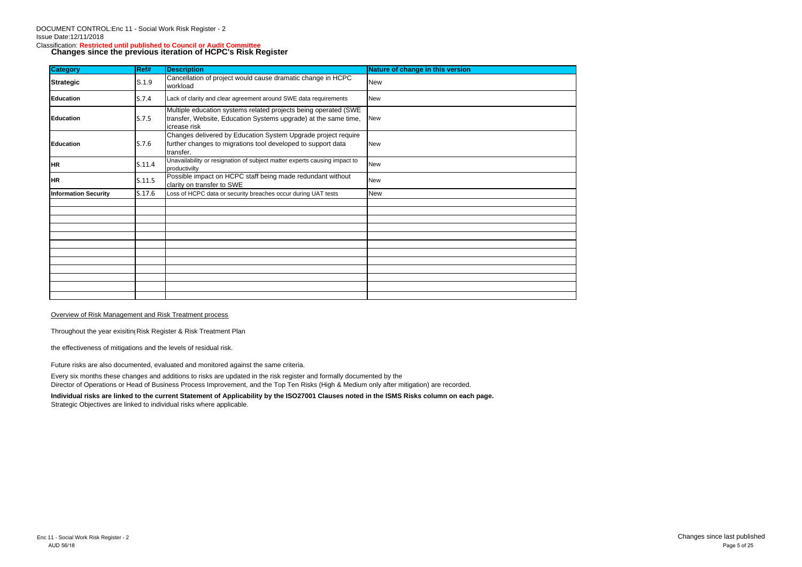## Classification: **Restricted until published to Council or Audit Committee Changes since the previous iteration of HCPC's Risk Register**

| <b>Category</b>             | Ref#   | <b>Description</b>                                                                                                                                 | Nature of change in this version |
|-----------------------------|--------|----------------------------------------------------------------------------------------------------------------------------------------------------|----------------------------------|
| <b>Strategic</b>            | S.1.9  | Cancellation of project would cause dramatic change in HCPC<br>workload                                                                            | <b>New</b>                       |
| <b>Education</b>            | S.7.4  | Lack of clarity and clear agreement around SWE data requirements                                                                                   | <b>New</b>                       |
| <b>Education</b>            | S.7.5  | Multiple education systems related projects being operated (SWE<br>transfer, Website, Education Systems upgrade) at the same time,<br>icrease risk | New                              |
| Education                   | S.7.6  | Changes delivered by Education System Upgrade project require<br>further changes to migrations tool developed to support data<br>transfer.         | <b>New</b>                       |
| <b>HR</b>                   | S.11.4 | Unavailability or resignation of subject matter experts causing impact to<br>productivilty                                                         | <b>New</b>                       |
| <b>HR</b>                   | S.11.5 | Possible impact on HCPC staff being made redundant without<br>clarity on transfer to SWE                                                           | <b>New</b>                       |
| <b>Information Security</b> | S.17.6 | Loss of HCPC data or security breaches occur during UAT tests                                                                                      | New                              |
|                             |        |                                                                                                                                                    |                                  |
|                             |        |                                                                                                                                                    |                                  |
|                             |        |                                                                                                                                                    |                                  |
|                             |        |                                                                                                                                                    |                                  |
|                             |        |                                                                                                                                                    |                                  |
|                             |        |                                                                                                                                                    |                                  |
|                             |        |                                                                                                                                                    |                                  |
|                             |        |                                                                                                                                                    |                                  |
|                             |        |                                                                                                                                                    |                                  |
|                             |        |                                                                                                                                                    |                                  |
|                             |        |                                                                                                                                                    |                                  |

## Overview of Risk Management and Risk Treatment process

Throughout the year exisiting Risk Register & Risk Treatment Plan

the effectiveness of mitigations and the levels of residual risk.

Future risks are also documented, evaluated and monitored against the same criteria.

Every six months these changes and additions to risks are updated in the risk register and formally documented by the Director of Operations or Head of Business Process Improvement, and the Top Ten Risks (High & Medium only after mitigation) are recorded.

**Individual risks are linked to the current Statement of Applicability by the ISO27001 Clauses noted in the ISMS Risks column on each page.** Strategic Objectives are linked to individual risks where applicable.

Enc 11 - Social Work Risk Register - 2 Changes since last published Page 5 of 25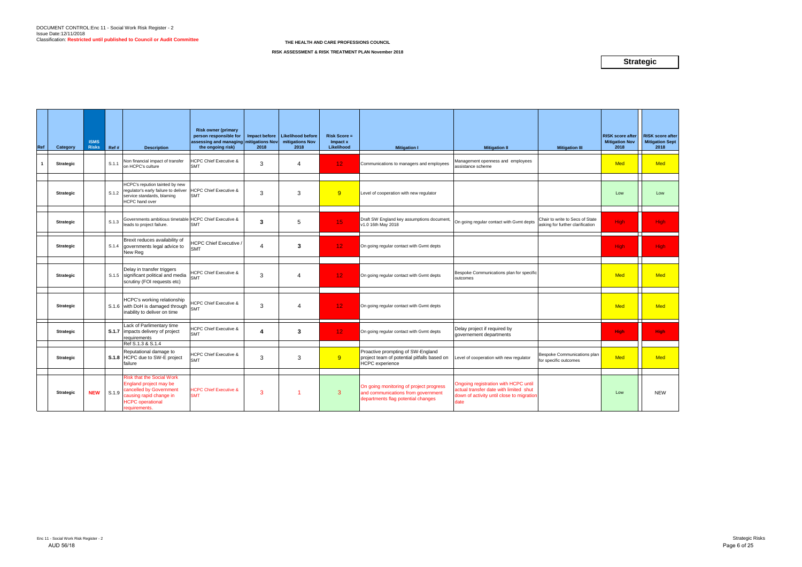| Ref | Category         | <b>ISMS</b><br><b>Risks</b> | Ref#  | <b>Description</b>                                                                                                                                           | <b>Risk owner (primary</b><br>person responsible for<br>assessing and managing mitigations Nov<br>the ongoing risk) | 2018           | Impact before   Likelihood before<br>mitigations Nov<br>2018 | <b>Risk Score =</b><br>Impact x<br>Likelihood | <b>Mitigation I</b>                                                                                                 | <b>Mitigation II</b>                                                                                                                | <b>Mitigation III</b>                                               | <b>RISK score after</b><br><b>Mitigation Nov</b><br>2018 | <b>RISK score after</b><br><b>Mitigation Sept</b><br>2018 |
|-----|------------------|-----------------------------|-------|--------------------------------------------------------------------------------------------------------------------------------------------------------------|---------------------------------------------------------------------------------------------------------------------|----------------|--------------------------------------------------------------|-----------------------------------------------|---------------------------------------------------------------------------------------------------------------------|-------------------------------------------------------------------------------------------------------------------------------------|---------------------------------------------------------------------|----------------------------------------------------------|-----------------------------------------------------------|
|     | <b>Strategic</b> |                             | S.1.1 | Non financial impact of transfer<br>on HCPC's culture                                                                                                        | <b>ICPC Chief Executive &amp;</b><br><b>SMT</b>                                                                     | 3              | $\overline{4}$                                               | 12 <sub>1</sub>                               | Communications to managers and employees                                                                            | Management openness and employees<br>assistance scheme                                                                              |                                                                     | <b>Med</b>                                               | <b>Med</b>                                                |
|     | <b>Strategic</b> |                             | S.1.2 | HCPC's repution tainted by new<br>regulator's early failure to deliver<br>service standards, blaming<br><b>HCPC</b> hand over                                | <b>HCPC Chief Executive &amp;</b><br><b>SMT</b>                                                                     | 3              | 3                                                            | 9                                             | Level of cooperation with new regulator                                                                             |                                                                                                                                     |                                                                     | Low                                                      | Low                                                       |
|     | <b>Strategic</b> |                             | S.1.3 | Governments ambitious timetable HCPC Chief Executive &<br>leads to project failure.                                                                          | <b>SMT</b>                                                                                                          | $\overline{3}$ | 5                                                            | 15 <sub>1</sub>                               | Draft SW England key assumptions document,<br>v1.0 16th May 2018                                                    | On going regular contact with Gvmt depts                                                                                            | Chair to write to Secs of State<br>asking for further clarification | <b>High</b>                                              | High                                                      |
|     | <b>Strategic</b> |                             | S.1.4 | Brexit reduces availability of<br>governments legal advice to<br>New Reg                                                                                     | <b>ICPC Chief Executive</b><br><b>SMT</b>                                                                           | 4              | $\mathbf{3}$                                                 | 12 <sub>1</sub>                               | On going regular contact with Gvmt depts                                                                            |                                                                                                                                     |                                                                     | <b>High</b>                                              | High                                                      |
|     | <b>Strategic</b> |                             |       | Delay in transfer triggers<br>S.1.5 significant political and media<br>scrutiny (FOI requests etc)                                                           | <b>ICPC Chief Executive &amp;</b><br><b>SMT</b>                                                                     | 3              | $\boldsymbol{\varDelta}$                                     | 12 <sub>1</sub>                               | On going regular contact with Gvmt depts                                                                            | Bespoke Communications plan for specific<br>outcomes                                                                                |                                                                     | Med                                                      | <b>Med</b>                                                |
|     | <b>Strategic</b> |                             |       | HCPC's working relationship<br>S.1.6 with DoH is damaged through<br>inability to deliver on time                                                             | <b>ICPC Chief Executive &amp;</b><br><b>SMT</b>                                                                     | 3              | $\overline{4}$                                               | 12 <sub>1</sub>                               | On going regular contact with Gvmt depts                                                                            |                                                                                                                                     |                                                                     | <b>Med</b>                                               | <b>Med</b>                                                |
|     | <b>Strategic</b> |                             |       | Lack of Parlimentary time<br><b>S.1.7</b> impacts delivery of project<br>requirements                                                                        | <b>HCPC Chief Executive &amp;</b><br><b>SMT</b>                                                                     | 4              | 3                                                            | 12 <sub>1</sub>                               | On going regular contact with Gvmt depts                                                                            | Delay project if required by<br>governement departments                                                                             |                                                                     | <b>High</b>                                              | <b>High</b>                                               |
|     | <b>Strategic</b> |                             |       | Ref S.1.3 & S.1.4<br>Reputational damage to<br><b>S.1.8</b> HCPC due to SW-E project<br>failure                                                              | <b>HCPC Chief Executive &amp;</b><br><b>SMT</b>                                                                     | 3              | 3                                                            | 9                                             | Proactive prompting of SW-England<br>project team of potential pitfalls based on<br><b>HCPC</b> experience          | Level of cooperation with new regulator                                                                                             | Bespoke Communications plan<br>for specific outcomes                | <b>Med</b>                                               | <b>Med</b>                                                |
|     | <b>Strategic</b> | <b>NEW</b>                  | S.1.9 | <b>Risk that the Social Work</b><br>England project may be<br>cancelled by Government<br>causing rapid change in<br><b>HCPC</b> operational<br>requirements. | <b>HCPC Chief Executive &amp;</b><br><b>SMT</b>                                                                     | 3              |                                                              | 3                                             | On going monitoring of project progress<br>and communications from government<br>departments flag potential changes | Ongoing registration with HCPC until<br>actual transfer date with limited shut<br>down of activity until close to migratior<br>date |                                                                     | Low                                                      | <b>NEW</b>                                                |

## **Strategic**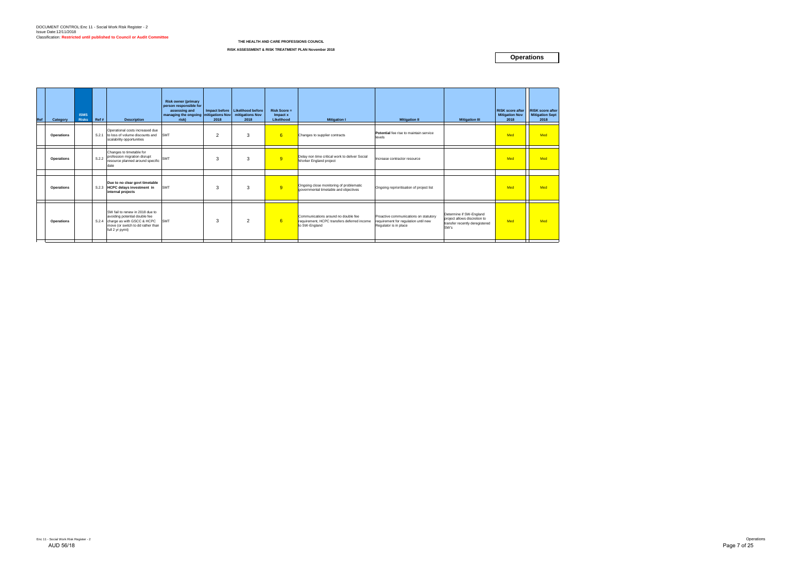| Ref | Category          | <b>ISMS</b><br><b>Risks</b> | Ref # | <b>Description</b>                                                                                                                                           | <b>Risk owner (primary</b><br>person responsible for<br>assessing and<br>managing the ongoing mitigations Nov mitigations Nov<br>risk) | 2018 | Impact before Likelihood before<br>2018 | $Risk Score =$<br>Impact x<br>Likelihood | <b>Mitigation I</b>                                                                                 | <b>Mitigation II</b>                                                                                   | <b>Mitigation III</b>                                                                             | <b>Mitigation Nov</b><br>2018 | RISK score after   RISK score after<br><b>Mitigation Sept</b><br>2018 |
|-----|-------------------|-----------------------------|-------|--------------------------------------------------------------------------------------------------------------------------------------------------------------|----------------------------------------------------------------------------------------------------------------------------------------|------|-----------------------------------------|------------------------------------------|-----------------------------------------------------------------------------------------------------|--------------------------------------------------------------------------------------------------------|---------------------------------------------------------------------------------------------------|-------------------------------|-----------------------------------------------------------------------|
|     | Operations        |                             |       | Operational costs increased due<br>S.2.1 to loss of volume discounts and<br>scalability opportunities                                                        | <b>SMT</b>                                                                                                                             | 2    | 3                                       | 6                                        | Changes to supplier contracts                                                                       | Potential fee rise to maintain service<br>levels                                                       |                                                                                                   | Med                           | Med                                                                   |
|     | <b>Operations</b> |                             | S.2.2 | Changes to timetable for<br>profession migration disrupt<br>resource planned around specific<br>date                                                         | <b>SMT</b>                                                                                                                             | 3    | 3                                       | 9                                        | Delay non time critical work to deliver Social<br>Worker England project                            | Increase contractor resource                                                                           |                                                                                                   | <b>Med</b>                    | Med                                                                   |
|     | Operations        |                             |       | Due to no clear govt timetable<br>S.2.3 HCPC delays investment in<br>internal projects                                                                       | <b>SMT</b>                                                                                                                             | 3    | 3                                       | 9                                        | Ongoing close monitoring of problematic<br>governmental timetable and objectives                    | Ongoing reprioritisation of project list                                                               |                                                                                                   | Med                           | Med                                                                   |
|     | Operations        |                             |       | SW fail to renew in 2018 due to<br>avoiding potential double fee<br>S.2.4 charge as with GSCC & HCPC<br>move (or switch to dd rather than<br>full 2 yr pymt) | <b>SMT</b>                                                                                                                             | 3    | 2                                       | 6                                        | Communications around no double fee<br>requirement, HCPC transfers deferred income<br>to SW-England | Proactive communications on statutory<br>requirement for regulation until new<br>Requlator is in place | Determine if SW-England<br>project allows discretion to<br>transfer recently deregistered<br>SW's | Med                           | Med                                                                   |

#### **RISK ASSESSMENT & RISK TREATMENT PLAN November 2018**

**Operations**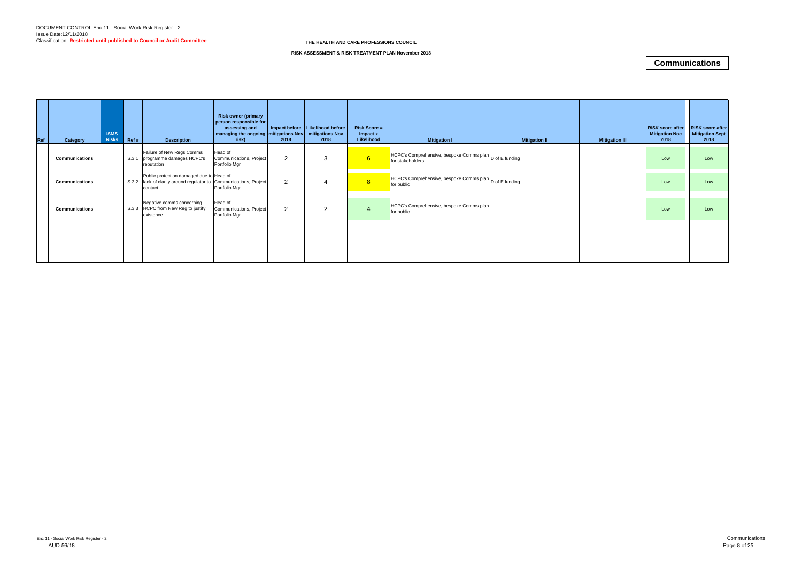| <b>Ref</b> | Category              | <b>ISMS</b><br><b>Risks</b> | REff# | <b>Description</b>                                                                                                         | <b>Risk owner (primary</b><br>person responsible for<br>assessing and<br>  managing the ongoing   mitigations Nov   mitigations Nov<br>risk) | 2018           | Impact before   Likelihood before  <br>2018 | <b>Risk Score =</b><br>Impact x<br>Likelihood | <b>Mitigation I</b>                                                         | <b>Mitigation II</b> | <b>Mitigation III</b> | <b>RISK score after</b><br><b>Mitigation Noc</b><br>2018 | <b>RISK score after</b><br><b>Mitigation Sept</b><br>2018 |
|------------|-----------------------|-----------------------------|-------|----------------------------------------------------------------------------------------------------------------------------|----------------------------------------------------------------------------------------------------------------------------------------------|----------------|---------------------------------------------|-----------------------------------------------|-----------------------------------------------------------------------------|----------------------|-----------------------|----------------------------------------------------------|-----------------------------------------------------------|
|            | <b>Communications</b> |                             |       | Failure of New Regs Comms<br>S.3.1 programme damages HCPC's<br>reputation                                                  | Head of<br>Communications, Project<br>Portfolio Mgr                                                                                          | 2              | 3                                           | 6                                             | HCPC's Comprehensive, bespoke Comms plan D of E funding<br>for stakeholders |                      |                       | Low                                                      | Low                                                       |
|            | <b>Communications</b> |                             |       | Public protection damaged due to Head of<br>S.3.2   lack of clarity around regulator to Communications, Project<br>contact | Portfolio Mgr                                                                                                                                | $\overline{2}$ |                                             | 8 <sup>°</sup>                                | HCPC's Comprehensive, bespoke Comms plan D of E funding<br>for public       |                      |                       | Low                                                      | Low                                                       |
|            | <b>Communications</b> |                             |       | Negative comms concerning<br>S.3.3 HCPC from New Reg to justify<br>existence                                               | Head of<br>Communications, Project<br>Portfolio Mgr                                                                                          | 2              | 2                                           |                                               | HCPC's Comprehensive, bespoke Comms plan<br>for public                      |                      |                       | Low                                                      | Low                                                       |
|            |                       |                             |       |                                                                                                                            |                                                                                                                                              |                |                                             |                                               |                                                                             |                      |                       |                                                          |                                                           |

## **Communications**

#### **THE HEALTH AND CARE PROFESSIONS COUNCIL**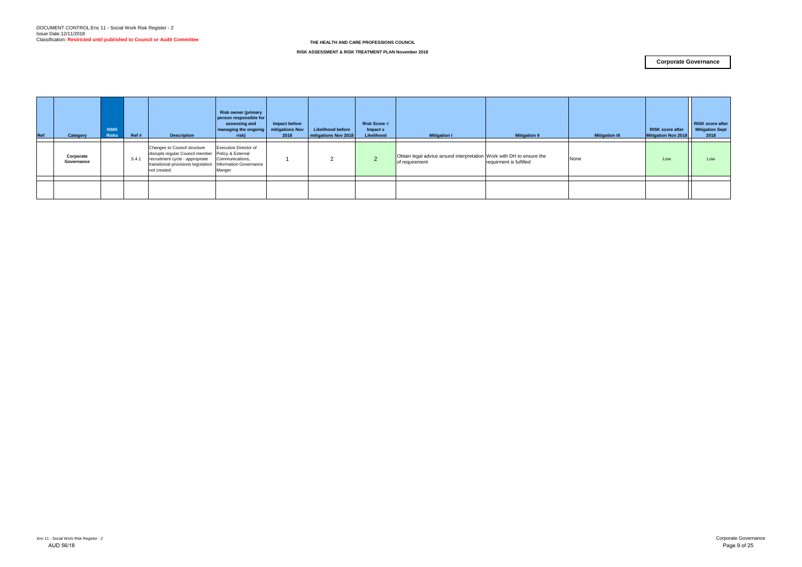| Ref | Category                | <b>ISMS</b><br><b>Risks</b> | Ref#  | <b>Description</b>                                                                                                                                                                                  | <b>Risk owner (primary</b><br>person responsible for<br>assessing and<br>managing the ongoing<br>risk) | Impact before<br>mitigations Nov<br>2018 | <b>Likelihood before</b><br>mitigations Nov 2018 | <b>Risk Score =</b><br>Impact x<br>Likelihood | <b>Mitigation I</b>                                                                    | <b>Mitigation II</b>    | <b>Mitigation III</b> | <b>RISK score after</b><br><b>Mitigation Nov 2018</b> | <b>RISK score after</b><br><b>Mitigation Sept</b><br>2018 |
|-----|-------------------------|-----------------------------|-------|-----------------------------------------------------------------------------------------------------------------------------------------------------------------------------------------------------|--------------------------------------------------------------------------------------------------------|------------------------------------------|--------------------------------------------------|-----------------------------------------------|----------------------------------------------------------------------------------------|-------------------------|-----------------------|-------------------------------------------------------|-----------------------------------------------------------|
|     | Corporate<br>Governance |                             | S.4.1 | Changes to Council structure<br>disrupts regular Council member Policy & External<br>recruitment cycle - appropriate<br>transitional provisions legislation   Information Governance<br>not created | <b>Executive Director of</b><br>Communications,<br>Manger                                              |                                          |                                                  | 2                                             | Obtain legal advice around interpretation Work with DH to ensure the<br>of requirement | requirment is fulfilled | None                  | Low                                                   | Low                                                       |
|     |                         |                             |       |                                                                                                                                                                                                     |                                                                                                        |                                          |                                                  |                                               |                                                                                        |                         |                       |                                                       |                                                           |
|     |                         |                             |       |                                                                                                                                                                                                     |                                                                                                        |                                          |                                                  |                                               |                                                                                        |                         |                       |                                                       |                                                           |

#### **RISK ASSESSMENT & RISK TREATMENT PLAN November 2018**

### **Corporate Governance**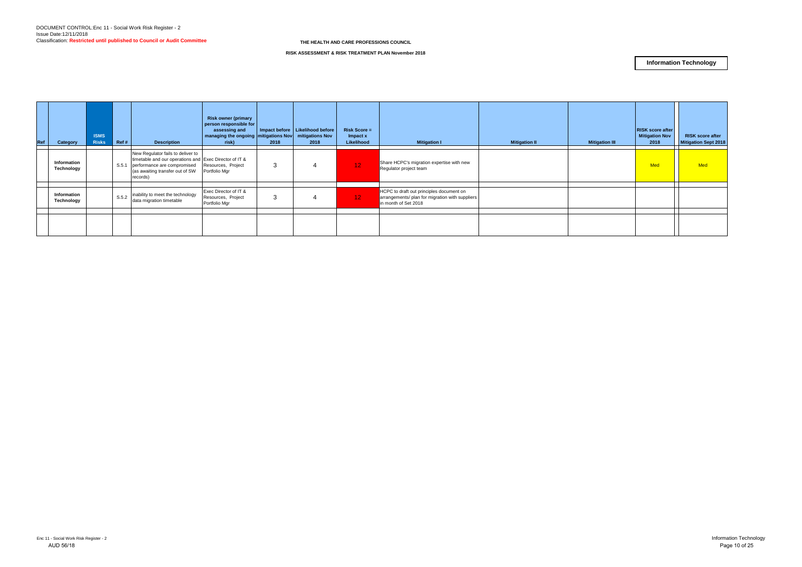| Ref | Category                  | <b>ISMS</b><br><b>Risks</b> | Ref#  | <b>Description</b>                                                                                                                                                        | <b>Risk owner (primary</b><br>person responsible for<br>assessing and<br>  managing the ongoing   mitigations Nov   mitigations Nov<br>risk) | 2018 | Impact before   Likelihood before<br>2018 | $Risk Score =$<br>Impact x<br>Likelihood | <b>Mitigation I</b>                                                                                                 | <b>Mitigation II</b> | <b>Mitigation III</b> | <b>RISK score after</b><br><b>Mitigation Nov</b><br>2018 | <b>RISK score after</b><br><b>Mitigation Sept 2018</b> |
|-----|---------------------------|-----------------------------|-------|---------------------------------------------------------------------------------------------------------------------------------------------------------------------------|----------------------------------------------------------------------------------------------------------------------------------------------|------|-------------------------------------------|------------------------------------------|---------------------------------------------------------------------------------------------------------------------|----------------------|-----------------------|----------------------------------------------------------|--------------------------------------------------------|
|     | Information<br>Technology |                             | S.5.1 | New Regulator fails to deliver to<br>timetable and our operations and Exec Director of IT &<br>performance are compromised<br>(as awaiting transfer out of SW<br>records) | Resources, Project<br>Portfolio Mgr                                                                                                          | 3    |                                           | 12 <sub>1</sub>                          | Share HCPC's migration expertise with new<br>Regulator project team                                                 |                      |                       | <b>Med</b>                                               | <b>Med</b>                                             |
|     | Information<br>Technology |                             | S.5.2 | inability to meet the technology<br>data migration timetable                                                                                                              | Exec Director of IT &<br>Resources, Project<br>Portfolio Mgr                                                                                 | 3    |                                           | 12 <sub>1</sub>                          | HCPC to draft out principles document on<br>arrangements/ plan for migration with suppliers<br>in month of Set 2018 |                      |                       |                                                          |                                                        |
|     |                           |                             |       |                                                                                                                                                                           |                                                                                                                                              |      |                                           |                                          |                                                                                                                     |                      |                       |                                                          |                                                        |

**RISK ASSESSMENT & RISK TREATMENT PLAN November 2018**

## **Information Technology**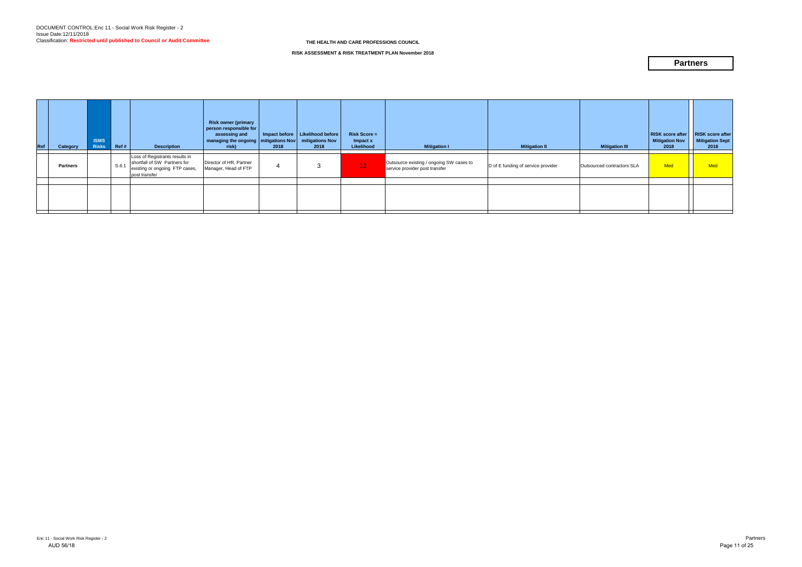| Ref | Category        | <b>ISMS</b><br><b>Risks</b> | Ref#  | <b>Description</b>                                                                                                | <b>Risk owner (primary</b><br>person responsible for<br>assessing and<br>  managing the ongoing   mitigations Nov<br>risk) | 2018 | Impact before   Likelihood before  <br>mitigations Nov<br>2018 | <b>Risk Score =</b><br>Impact x<br>Likelihood | <b>Mitigation I</b>                                                        | <b>Mitigation II</b>               | <b>Mitigation III</b>      | <b>RISK score after</b><br><b>Mitigation Nov</b><br>2018 | <b>RISK score after</b><br><b>Mitigation Sept</b><br>2018 |
|-----|-----------------|-----------------------------|-------|-------------------------------------------------------------------------------------------------------------------|----------------------------------------------------------------------------------------------------------------------------|------|----------------------------------------------------------------|-----------------------------------------------|----------------------------------------------------------------------------|------------------------------------|----------------------------|----------------------------------------------------------|-----------------------------------------------------------|
|     | <b>Partners</b> |                             | S.6.1 | Loss of Registrants results in<br>shortfall of SW Partners for<br>existing or ongoing FTP cases,<br>post transfer | Director of HR, Partner<br>Manager, Head of FTP                                                                            |      | 3                                                              | <b>M2A</b>                                    | Outsource existing / ongoing SW cases to<br>service provider post transfer | D of E funding of service provider | Outsourced contractors SLA | Med                                                      | Med                                                       |
|     |                 |                             |       |                                                                                                                   |                                                                                                                            |      |                                                                |                                               |                                                                            |                                    |                            |                                                          |                                                           |
|     |                 |                             |       |                                                                                                                   |                                                                                                                            |      |                                                                |                                               |                                                                            |                                    |                            |                                                          |                                                           |

**RISK ASSESSMENT & RISK TREATMENT PLAN November 2018**

## **Partners**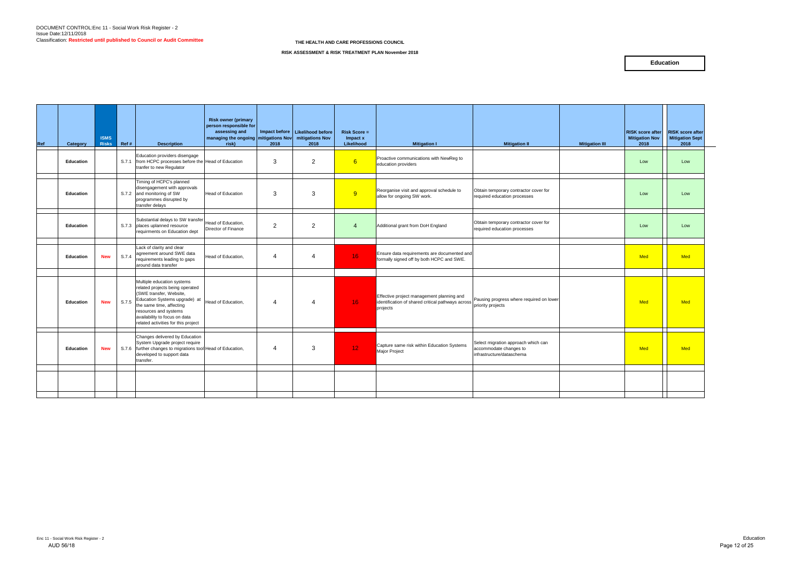| Ref | Category         | <b>ISMS</b><br><b>Risks</b> | Ref # | <b>Description</b>                                                                                                                                                                                                                                     | <b>Risk owner (primary</b><br>person responsible for<br>assessing and<br>managing the ongoing mitigations Nov<br>risk) | 2018                   | Impact before   Likelihood before<br>mitigations Nov<br>2018 | <b>Risk Score =</b><br>Impact x<br>Likelihood | <b>Mitigation I</b>                                                                                                          | <b>Mitigation II</b>                                                                       | <b>Mitigation III</b> | <b>RISK score after</b><br><b>Mitigation Nov</b><br>2018 | <b>RISK score after</b><br><b>Mitigation Sept</b><br>2018 |
|-----|------------------|-----------------------------|-------|--------------------------------------------------------------------------------------------------------------------------------------------------------------------------------------------------------------------------------------------------------|------------------------------------------------------------------------------------------------------------------------|------------------------|--------------------------------------------------------------|-----------------------------------------------|------------------------------------------------------------------------------------------------------------------------------|--------------------------------------------------------------------------------------------|-----------------------|----------------------------------------------------------|-----------------------------------------------------------|
|     | <b>Education</b> |                             |       | Education providers disengage<br>S.7.1 from HCPC processes before the Head of Education<br>tranfer to new Regulator                                                                                                                                    |                                                                                                                        | 3                      | 2                                                            | 6                                             | Proactive communications with NewReg to<br>education providers                                                               |                                                                                            |                       | Low                                                      | Low                                                       |
|     | Education        |                             |       | Timing of HCPC's planned<br>disengagement with approvals<br>S.7.2 and monitoring of SW<br>programmes disrupted by<br>transfer delays                                                                                                                   | <b>Head of Education</b>                                                                                               | 3                      | 3                                                            | 9                                             | Reorganise visit and approval schedule to<br>allow for ongoing SW work.                                                      | Obtain temporary contractor cover for<br>required education processes                      |                       | Low                                                      | Low                                                       |
|     | <b>Education</b> |                             |       | Substantial delays to SW transfer<br>S.7.3 places uplanned resource<br>requirments on Education dept                                                                                                                                                   | Head of Education,<br>Director of Finance                                                                              | 2                      | 2                                                            | $\overline{4}$                                | Additional grant from DoH England                                                                                            | Obtain temporary contractor cover for<br>required education processes                      |                       | Low                                                      | Low                                                       |
|     | <b>Education</b> | <b>New</b>                  |       | Lack of clarity and clear<br>S.7.4 agreement around SWE data<br>requirements leading to gaps<br>around data transfer                                                                                                                                   | Head of Education,                                                                                                     | 4                      | Δ                                                            | 16 <sup>°</sup>                               | Ensure data requirements are documented and<br>formally signed off by both HCPC and SWE.                                     |                                                                                            |                       | <b>Med</b>                                               | <b>Med</b>                                                |
|     | Education        | <b>New</b>                  | S.7.5 | Multiple education systems<br>related projects being operated<br>(SWE transfer, Website,<br>Education Systems upgrade) at<br>the same time, affecting<br>resources and systems<br>availability to focus on data<br>related activities for this project | Head of Education,                                                                                                     | $\boldsymbol{\Lambda}$ | $\Delta$                                                     | 16 <sup>°</sup>                               | Effective project management planning and<br>identification of shared critical pathways across research progress<br>projects | Pausing progress where required on lower                                                   |                       | Med                                                      | <b>Med</b>                                                |
|     | <b>Education</b> | <b>New</b>                  |       | Changes delivered by Education<br>System Upgrade project require<br>S.7.6 further changes to migrations tool Head of Education,<br>developed to support data<br>transfer.                                                                              |                                                                                                                        | Δ                      | 3                                                            | 12 <sub>1</sub>                               | Capture same risk within Education Systems<br>Major Project                                                                  | Select migration approach which can<br>accommodate changes to<br>infrastructure/dataschema |                       | <b>Med</b>                                               | <b>Med</b>                                                |
|     |                  |                             |       |                                                                                                                                                                                                                                                        |                                                                                                                        |                        |                                                              |                                               |                                                                                                                              |                                                                                            |                       |                                                          |                                                           |

### **Education**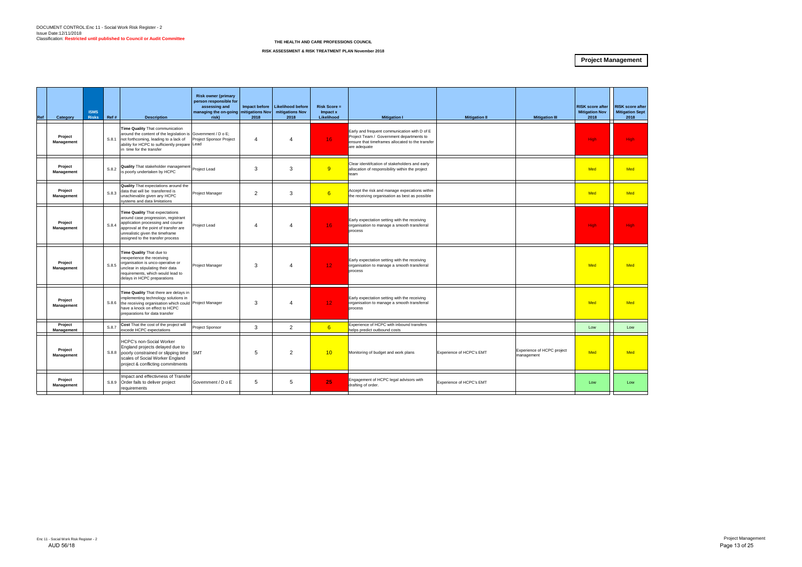

| Ref | Category              | <b>ISMS</b><br><b>Risks</b> | Ref # | <b>Description</b>                                                                                                                                                                                                         | <b>Risk owner (primary</b><br>person responsible for<br>assessing and<br>managing the on-going mitigations Nov<br>risk) | 2018           | Impact before   Likelihood before<br>mitigations Nov<br>2018 | <b>Risk Score =</b><br>Impact x<br>Likelihood | <b>Mitigation I</b>                                                                                                                                          | <b>Mitigation II</b>     | <b>Mitigation III</b>                    | <b>RISK score after</b><br><b>Mitigation Nov</b><br>2018 | <b>RISK scor</b><br><b>Mitigation</b><br>2018 |
|-----|-----------------------|-----------------------------|-------|----------------------------------------------------------------------------------------------------------------------------------------------------------------------------------------------------------------------------|-------------------------------------------------------------------------------------------------------------------------|----------------|--------------------------------------------------------------|-----------------------------------------------|--------------------------------------------------------------------------------------------------------------------------------------------------------------|--------------------------|------------------------------------------|----------------------------------------------------------|-----------------------------------------------|
|     | Project<br>Management |                             | S.8.1 | Time Quality That communication<br>around the content of the legislation is Government / D o E;<br>not forthcoming, leading to a lack of<br>ability for HCPC to sufficiently prepare Lead<br>in time for the transfer      | Project Sponsor Project                                                                                                 | $\overline{4}$ | 4                                                            | 16 <sup>°</sup>                               | Early and frequent communication with D of E<br>Project Team / Government departments to<br>ensure that timeframes allocated to the transfer<br>are adequate |                          |                                          | <b>High</b>                                              | <b>High</b>                                   |
|     | Project<br>Management |                             | S.8.2 | <b>Quality</b> That stakeholder management<br>is poorly undertaken by HCPC                                                                                                                                                 | Project Lead                                                                                                            | 3              | 3                                                            | 9                                             | Clear idenitifcation of stakeholders and early<br>allocation of responsibility within the project<br>team                                                    |                          |                                          | Med                                                      | Med                                           |
|     | Project<br>Management |                             | S.8.3 | <b>Quality</b> That expectations around the<br>data that will be transferred is<br>unachievable given any HCPC<br>systems and data limitations                                                                             | Project Manager                                                                                                         | $\overline{2}$ | 3                                                            | 6                                             | Accept the risk and manage expecations within<br>the receiving organisation as best as possible                                                              |                          |                                          | Med                                                      | Med                                           |
|     | Project<br>Management |                             | S.8.4 | Time Quality That expectations<br>around case progression, registrant<br>application processing and course<br>approval at the point of transfer are<br>unrealistic given the timeframe<br>assigned to the transfer process | Project Lead                                                                                                            | 4              | 4                                                            | 16 <sup>°</sup>                               | Early expectation setting with the receiving<br>organisation to manage a smooth transferral<br>process                                                       |                          |                                          | <b>High</b>                                              | High                                          |
|     | Project<br>Management |                             | S.8.5 | Time Quality That due to<br>inexperience the receiving<br>organisation is unco-operative or<br>unclear in stipulating their data<br>requirements, which would lead to<br>delays in HCPC preparations                       | Project Manager                                                                                                         | 3              | 4                                                            | 12 <sub>1</sub>                               | Early expectation setting with the receiving<br>organisation to manage a smooth transferral<br>process                                                       |                          |                                          | Med                                                      | Med                                           |
|     | Project<br>Management |                             |       | Time Quality That there are delays in<br>implementing technology solutions in<br>S.8.6 the receiving organisation which could Project Manager<br>have a knock on effect to HCPC<br>preparations for data transfer          |                                                                                                                         | 3              | 4                                                            | 12 <sub>1</sub>                               | Early expectation setting with the receiving<br>organisation to manage a smooth transferral<br>process                                                       |                          |                                          | Med                                                      | Med                                           |
|     | Project<br>Management |                             | S.8.7 | Cost That the cost of the project will<br>excede HCPC expectations                                                                                                                                                         | Project Sponsor                                                                                                         | 3              | 2                                                            | 6                                             | Experience of HCPC with inbound transfers<br>nelps predict outbound costs                                                                                    |                          |                                          | Low                                                      | Low                                           |
|     | Project<br>Management |                             | S.8.8 | <b>HCPC's non-Social Worker</b><br>England projects delayed due to<br>poorly constrained or slipping time SMT<br>scales of Social Worker England<br>project & conflicting commitments                                      |                                                                                                                         | 5              | $\overline{2}$                                               | 10                                            | Monitoring of budget and work plans                                                                                                                          | Experience of HCPC's EMT | Experience of HCPC project<br>management | Med                                                      | Mec                                           |
|     | Project<br>Management |                             | S.8.9 | Impact and effectivness of Transfer<br>Order fails to deliver project<br>requirements                                                                                                                                      | Government / D o E                                                                                                      | 5              | 5                                                            | 25                                            | Engagement of HCPC legal advisors with<br>drafting of order.                                                                                                 | Experience of HCPC's EMT |                                          | Low                                                      | Low                                           |

#### **RISK ASSESSMENT & RISK TREATMENT PLAN November 2018**

## **Project Management**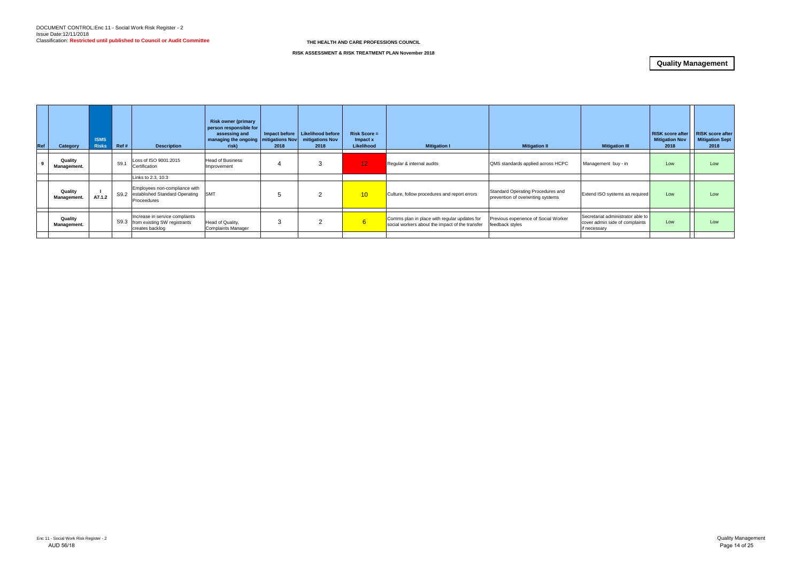| Ref | Category               | <b>ISMS</b><br><b>Risks</b> | Ref# | <b>Description</b>                                                                  | <b>Risk owner (primary</b><br>person responsible for<br>assessing and<br>managing the ongoing   mitigations Nov  <br>risk) | 2018 | Impact before   Likelihood before<br>mitigations Nov<br>2018 | $Risk Score =$<br>$Im$ pact $x$<br>Likelihood | <b>Mitigation I</b>                                                                             | <b>Mitigation II</b>                                                   | <b>Mitigation III</b>                                                               | <b>RISK score after</b><br><b>Mitigation Nov</b><br>2018 | <b>RISK score after</b><br><b>Mitigation Sept</b><br>2018 |
|-----|------------------------|-----------------------------|------|-------------------------------------------------------------------------------------|----------------------------------------------------------------------------------------------------------------------------|------|--------------------------------------------------------------|-----------------------------------------------|-------------------------------------------------------------------------------------------------|------------------------------------------------------------------------|-------------------------------------------------------------------------------------|----------------------------------------------------------|-----------------------------------------------------------|
|     | Quality<br>Management. |                             | S9.1 | Loss of ISO 9001:2015<br>Certification                                              | <b>Head of Business</b><br>Improvement                                                                                     |      | 3                                                            | 12 <sub>1</sub>                               | Regular & internal audits                                                                       | QMS standards applied across HCPC                                      | Management buy - in                                                                 | Low                                                      | Low                                                       |
|     |                        |                             |      | Links to 2.3, 10.3                                                                  |                                                                                                                            |      |                                                              |                                               |                                                                                                 |                                                                        |                                                                                     |                                                          |                                                           |
|     | Quality<br>Management. | A7.1.2                      |      | Employees non-compliance with<br>S9.2 established Standard Operating<br>Proceedures | <b>SMT</b>                                                                                                                 |      | 2                                                            | 10 <sup>1</sup>                               | Culture, follow procedures and report errors                                                    | Standard Operating Procedures and<br>prevention of overwriting systems | Extend ISO systems as required                                                      | Low                                                      | Low                                                       |
|     |                        |                             |      |                                                                                     |                                                                                                                            |      |                                                              |                                               |                                                                                                 |                                                                        |                                                                                     |                                                          |                                                           |
|     | Quality<br>Management. |                             | S9.3 | Increase in service complaints<br>from existing SW registrants<br>creates backlog   | Head of Quality,<br><b>Complaints Manager</b>                                                                              |      |                                                              | 6                                             | Comms plan in place with regular updates for<br>social workers about the impact of the transfer | Previous experience of Social Worker<br>feedback styles                | Secretariat administrator able to<br>cover admin side of complaints<br>if necessary | Low                                                      | Low                                                       |
|     |                        |                             |      |                                                                                     |                                                                                                                            |      |                                                              |                                               |                                                                                                 |                                                                        |                                                                                     |                                                          |                                                           |

#### **RISK ASSESSMENT & RISK TREATMENT PLAN November 2018**

## **Quality Management**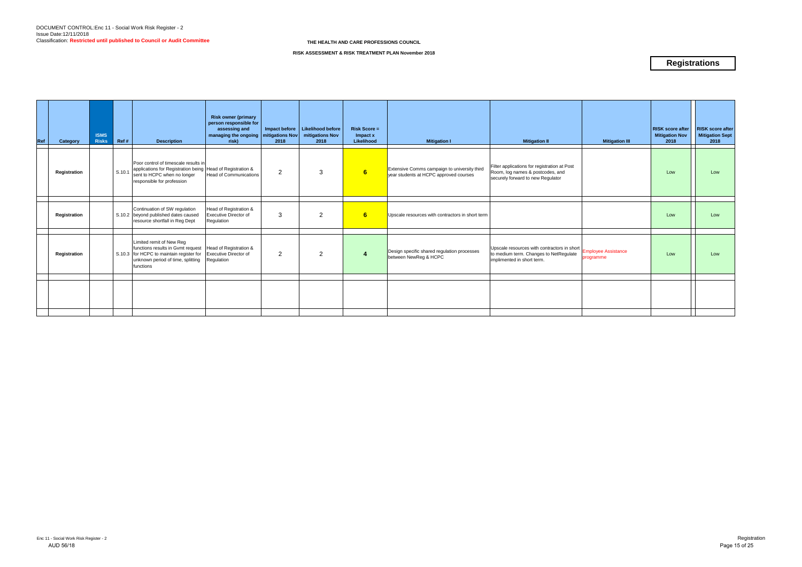| Ref | Category     | <b>ISMS</b><br><b>Risks</b> | Ref #  | <b>Description</b>                                                                                                                                                                   | <b>Risk owner (primary</b><br>person responsible for<br>assessing and<br>managing the ongoing   mitigations Nov  <br>risk) | 2018 | Impact before   Likelihood before<br>mitigations Nov<br>2018 | <b>Risk Score =</b><br>Impact x<br>Likelihood | <b>Mitigation I</b>                                                                    | <b>Mitigation II</b>                                                                                                  | <b>Mitigation III</b>                   | <b>RISK score after</b><br><b>Mitigation Nov</b><br>2018 | <b>RISK score after</b><br><b>Mitigation Sept</b><br>2018 |
|-----|--------------|-----------------------------|--------|--------------------------------------------------------------------------------------------------------------------------------------------------------------------------------------|----------------------------------------------------------------------------------------------------------------------------|------|--------------------------------------------------------------|-----------------------------------------------|----------------------------------------------------------------------------------------|-----------------------------------------------------------------------------------------------------------------------|-----------------------------------------|----------------------------------------------------------|-----------------------------------------------------------|
|     | Registration |                             | S.10.1 | Poor control of timescale results in<br>applications for Registration being Head of Registration &<br>sent to HCPC when no longer<br>responsible for profession                      | <b>Head of Communications</b>                                                                                              | 2    | 3                                                            | 6                                             | Extensive Comms campaign to university third<br>year students at HCPC approved courses | Filter applications for registration at Post<br>Room, log names & postcodes, and<br>securely forward to new Regulator |                                         | Low                                                      | Low                                                       |
|     |              |                             |        |                                                                                                                                                                                      |                                                                                                                            |      |                                                              |                                               |                                                                                        |                                                                                                                       |                                         |                                                          |                                                           |
|     | Registration |                             |        | Continuation of SW regulation<br>S.10.2 beyond published dates caused<br>resource shortfall in Reg Dept                                                                              | Head of Registration &<br><b>Executive Director of</b><br>Regulation                                                       | 3    | $\overline{2}$                                               | 6                                             | Upscale resources with contractors in short term                                       |                                                                                                                       |                                         | Low                                                      | Low                                                       |
|     |              |                             |        |                                                                                                                                                                                      |                                                                                                                            |      |                                                              |                                               |                                                                                        |                                                                                                                       |                                         |                                                          |                                                           |
|     | Registration |                             |        | Limited remit of New Reg<br>functions results in Gvmt request   Head of Registration &<br>S.10.3 for HCPC to maintain register for<br>unknown period of time, splitting<br>functions | <b>Executive Director of</b><br>Regulation                                                                                 | 2    | $\overline{2}$                                               | $\overline{4}$                                | Design specific shared regulation processes<br>between NewReg & HCPC                   | Upscale resources with contractors in short<br>to medium term. Changes to NetRegulate<br>implimented in short term.   | <b>Employee Assistance</b><br>programme | Low                                                      | Low                                                       |
|     |              |                             |        |                                                                                                                                                                                      |                                                                                                                            |      |                                                              |                                               |                                                                                        |                                                                                                                       |                                         |                                                          |                                                           |
|     |              |                             |        |                                                                                                                                                                                      |                                                                                                                            |      |                                                              |                                               |                                                                                        |                                                                                                                       |                                         |                                                          |                                                           |
|     |              |                             |        |                                                                                                                                                                                      |                                                                                                                            |      |                                                              |                                               |                                                                                        |                                                                                                                       |                                         |                                                          |                                                           |

#### **RISK ASSESSMENT & RISK TREATMENT PLAN November 2018**

## **Registrations**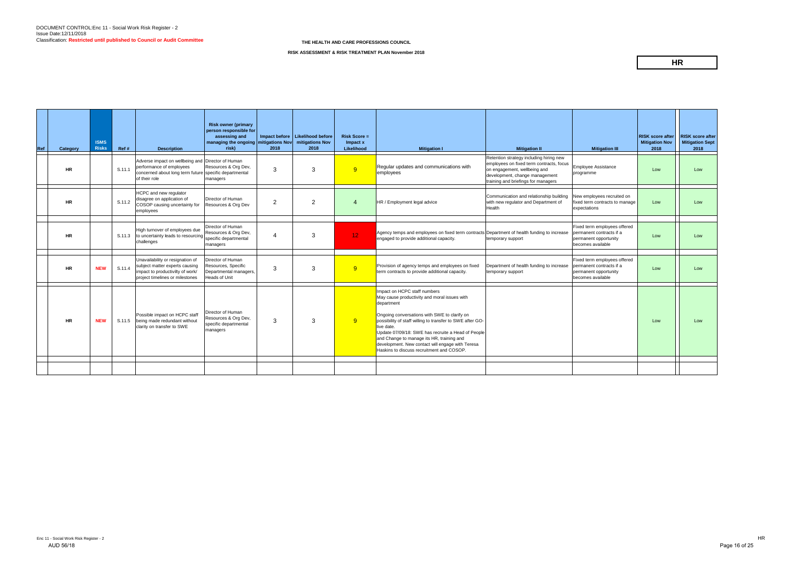| Retention strategy including hiring new<br>Adverse impact on wellbeing and Director of Human<br>employees on fixed term contracts, focus<br>performance of employees<br>Resources & Org Dev,<br>Regular updates and communications with<br><b>Employee Assistance</b><br>9<br>3<br>3<br>S.11.1<br>on engagement, wellbeing and<br><b>HR</b><br>Low<br>Low<br>concerned about long term future specific departmental<br>programme<br>employees<br>development, change management<br>of their role<br>managers<br>training and briefings for managers<br>HCPC and new regulator<br>Communication and relationship building<br>New employees recruited on<br>disagree on application of<br>Director of Human<br>2<br>2<br>$\overline{4}$<br><b>HR</b><br>S.11.2<br>HR / Employment legal advice<br>with new regulator and Department of<br>fixed term contracts to manage<br>Low<br>Low<br>COSOP causing uncertainty for<br>Resources & Org Dev<br>Health<br>expectations<br>employees<br>Director of Human<br>Fixed term employees offered<br>High turnover of employees due<br>Resources & Org Dev,<br>Agency temps and employees on fixed term contracts Department of health funding to increase<br>permanent contracts if a<br>12 <sub>1</sub><br>3<br><b>HR</b><br>S.11.3<br>to uncertainty leads to resourcing<br>4<br>Low<br>Low<br>specific departmental<br>engaged to provide additional capacity.<br>permanent opportunity<br>temporary support<br>challenges<br>becomes available<br>managers<br>Director of Human<br>Unavailability or resignation of<br>Fixed term employees offered<br>Resources, Specific<br>Provision of agency temps and employees on fixed<br>Department of health funding to increase<br>permanent contracts if a<br>subject matter experts causing<br>9<br>3<br>3<br><b>NEW</b><br>S.11.4<br><b>HR</b><br>Low<br>Low<br>impact to productivilty of work/<br>Departmental managers,<br>term contracts to provide additional capacity.<br>permanent opportunity<br>temporary support<br><b>Heads of Unit</b><br>becomes available<br>project timelines or milestones<br>Impact on HCPC staff numbers<br>May cause productivity and moral issues with<br>department<br>Director of Human<br>Possible impact on HCPC staff<br>Ongoing conversations with SWE to clarify on<br>Resources & Org Dev,<br>3<br>9<br>3<br><b>NEW</b><br>being made redundant without<br>possibility of staff willing to transfer to SWE after GO-<br><b>HR</b><br>S.11.5<br>Low<br>Low<br>specific departmental<br>clarity on transfer to SWE<br>live date.<br>managers<br>Update 07/09/18: SWE has recruite a Head of People<br>and Change to manage its HR, training and<br>development. New contact will engage with Teresa<br>Haskins to discuss recruitment and COSOP. | Ref | Category | <b>ISMS</b><br><b>Risks</b> | Ref # | <b>Description</b> | <b>Risk owner (primary</b><br>person responsible for<br>assessing and<br>managing the ongoing mitigations Nov<br>risk) | 2018 | Impact before   Likelihood before<br>mitigations Nov<br>2018 | $Risk Score =$<br>Impact x<br>Likelihood | <b>Mitigation I</b> | <b>Mitigation II</b> | <b>Mitigation III</b> | <b>RISK score after</b><br><b>Mitigation Nov</b><br>2018 | <b>RISK score after</b><br><b>Mitigation Sept</b><br>2018 |
|--------------------------------------------------------------------------------------------------------------------------------------------------------------------------------------------------------------------------------------------------------------------------------------------------------------------------------------------------------------------------------------------------------------------------------------------------------------------------------------------------------------------------------------------------------------------------------------------------------------------------------------------------------------------------------------------------------------------------------------------------------------------------------------------------------------------------------------------------------------------------------------------------------------------------------------------------------------------------------------------------------------------------------------------------------------------------------------------------------------------------------------------------------------------------------------------------------------------------------------------------------------------------------------------------------------------------------------------------------------------------------------------------------------------------------------------------------------------------------------------------------------------------------------------------------------------------------------------------------------------------------------------------------------------------------------------------------------------------------------------------------------------------------------------------------------------------------------------------------------------------------------------------------------------------------------------------------------------------------------------------------------------------------------------------------------------------------------------------------------------------------------------------------------------------------------------------------------------------------------------------------------------------------------------------------------------------------------------------------------------------------------------------------------------------------------------------------------------------------------------------------------------------------------------------------------------------------------------------------------------------------------------------------------------------------------------------------------------------------------------------------------------------------------|-----|----------|-----------------------------|-------|--------------------|------------------------------------------------------------------------------------------------------------------------|------|--------------------------------------------------------------|------------------------------------------|---------------------|----------------------|-----------------------|----------------------------------------------------------|-----------------------------------------------------------|
|                                                                                                                                                                                                                                                                                                                                                                                                                                                                                                                                                                                                                                                                                                                                                                                                                                                                                                                                                                                                                                                                                                                                                                                                                                                                                                                                                                                                                                                                                                                                                                                                                                                                                                                                                                                                                                                                                                                                                                                                                                                                                                                                                                                                                                                                                                                                                                                                                                                                                                                                                                                                                                                                                                                                                                                      |     |          |                             |       |                    |                                                                                                                        |      |                                                              |                                          |                     |                      |                       |                                                          |                                                           |
|                                                                                                                                                                                                                                                                                                                                                                                                                                                                                                                                                                                                                                                                                                                                                                                                                                                                                                                                                                                                                                                                                                                                                                                                                                                                                                                                                                                                                                                                                                                                                                                                                                                                                                                                                                                                                                                                                                                                                                                                                                                                                                                                                                                                                                                                                                                                                                                                                                                                                                                                                                                                                                                                                                                                                                                      |     |          |                             |       |                    |                                                                                                                        |      |                                                              |                                          |                     |                      |                       |                                                          |                                                           |
|                                                                                                                                                                                                                                                                                                                                                                                                                                                                                                                                                                                                                                                                                                                                                                                                                                                                                                                                                                                                                                                                                                                                                                                                                                                                                                                                                                                                                                                                                                                                                                                                                                                                                                                                                                                                                                                                                                                                                                                                                                                                                                                                                                                                                                                                                                                                                                                                                                                                                                                                                                                                                                                                                                                                                                                      |     |          |                             |       |                    |                                                                                                                        |      |                                                              |                                          |                     |                      |                       |                                                          |                                                           |
|                                                                                                                                                                                                                                                                                                                                                                                                                                                                                                                                                                                                                                                                                                                                                                                                                                                                                                                                                                                                                                                                                                                                                                                                                                                                                                                                                                                                                                                                                                                                                                                                                                                                                                                                                                                                                                                                                                                                                                                                                                                                                                                                                                                                                                                                                                                                                                                                                                                                                                                                                                                                                                                                                                                                                                                      |     |          |                             |       |                    |                                                                                                                        |      |                                                              |                                          |                     |                      |                       |                                                          |                                                           |
|                                                                                                                                                                                                                                                                                                                                                                                                                                                                                                                                                                                                                                                                                                                                                                                                                                                                                                                                                                                                                                                                                                                                                                                                                                                                                                                                                                                                                                                                                                                                                                                                                                                                                                                                                                                                                                                                                                                                                                                                                                                                                                                                                                                                                                                                                                                                                                                                                                                                                                                                                                                                                                                                                                                                                                                      |     |          |                             |       |                    |                                                                                                                        |      |                                                              |                                          |                     |                      |                       |                                                          |                                                           |
|                                                                                                                                                                                                                                                                                                                                                                                                                                                                                                                                                                                                                                                                                                                                                                                                                                                                                                                                                                                                                                                                                                                                                                                                                                                                                                                                                                                                                                                                                                                                                                                                                                                                                                                                                                                                                                                                                                                                                                                                                                                                                                                                                                                                                                                                                                                                                                                                                                                                                                                                                                                                                                                                                                                                                                                      |     |          |                             |       |                    |                                                                                                                        |      |                                                              |                                          |                     |                      |                       |                                                          |                                                           |

## **HR**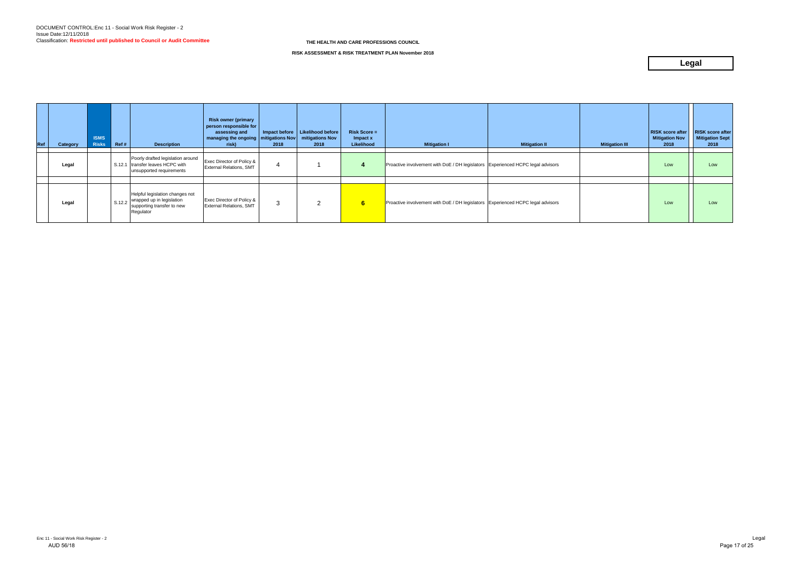| Ref | Category | <b>ISMS</b><br><b>Risks</b> | Ref #  | <b>Description</b>                                                                                      | <b>Risk owner (primary</b><br>person responsible for<br>assessing and<br>managing the ongoing   mitigations Nov<br>risk) | 2018 | Impact before   Likelihood before<br>mitigations Nov<br>2018 | <b>Risk Score =</b><br>Impact x<br>Likelihood | <b>Mitigation I</b>                                                             | <b>Mitigation II</b> | <b>Mitigation III</b> | <b>RISK score after</b><br><b>Mitigation Nov</b><br>2018 | <b>RISK score after</b><br><b>Mitigation Sept</b><br>2018 |
|-----|----------|-----------------------------|--------|---------------------------------------------------------------------------------------------------------|--------------------------------------------------------------------------------------------------------------------------|------|--------------------------------------------------------------|-----------------------------------------------|---------------------------------------------------------------------------------|----------------------|-----------------------|----------------------------------------------------------|-----------------------------------------------------------|
|     | Legal    |                             |        | Poorly drafted legislation around<br>S.12.1 transfer leaves HCPC with<br>unsupported requirements       | Exec Director of Policy &<br><b>External Relations, SMT</b>                                                              |      |                                                              |                                               | Proactive involvement with DoE / DH legislators Experienced HCPC legal advisors |                      |                       | Low                                                      | Low                                                       |
|     | Legal    |                             | S.12.2 | Helpful legislation changes not<br>wrapped up in legislation<br>supporting transfer to new<br>Regulator | Exec Director of Policy &<br><b>External Relations, SMT</b>                                                              |      | っ                                                            | 6                                             | Proactive involvement with DoE / DH legislators Experienced HCPC legal advisors |                      |                       | Low                                                      | Low                                                       |

**RISK ASSESSMENT & RISK TREATMENT PLAN November 2018**

## **Legal**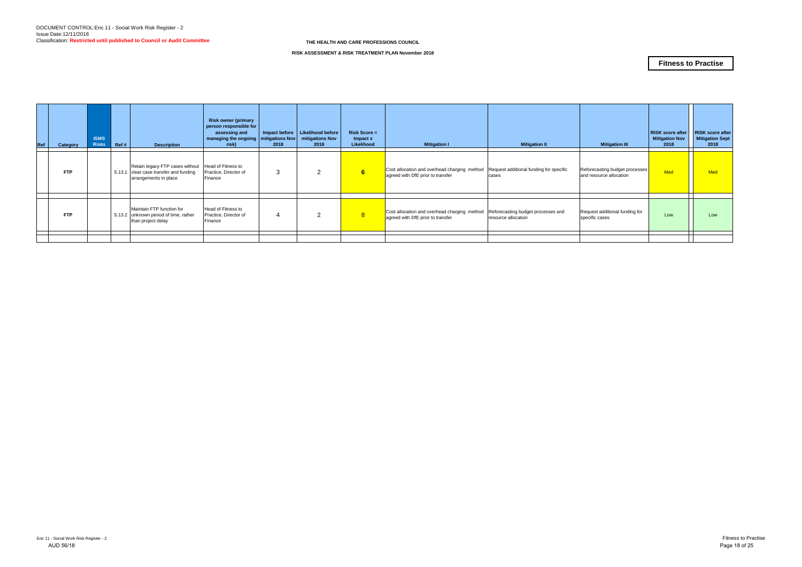| Ref | Category   | <b>ISMS</b><br><b>Risks</b> | Ref # | <b>Description</b>                                                                                                    | <b>Risk owner (primary</b><br>person responsible for<br>assessing and<br>  managing the ongoing   mitigations Nov  <br>risk) | 2018 | Impact before   Likelihood before<br>mitigations Nov<br>2018 | <b>Risk Score =</b><br>Impact x<br>Likelihood | <b>Mitigation I</b>                                                                                                       | <b>Mitigation II</b>                                      | <b>Mitigation III</b>                                     | <b>RISK score after</b><br><b>Mitigation Nov</b><br>2018 | <b>RISK score after</b><br><b>Mitigation Sept</b><br>2018 |
|-----|------------|-----------------------------|-------|-----------------------------------------------------------------------------------------------------------------------|------------------------------------------------------------------------------------------------------------------------------|------|--------------------------------------------------------------|-----------------------------------------------|---------------------------------------------------------------------------------------------------------------------------|-----------------------------------------------------------|-----------------------------------------------------------|----------------------------------------------------------|-----------------------------------------------------------|
|     | <b>FTP</b> |                             |       | Retain legacy FTP cases without Head of Fitness to<br>S.13.1 clear case transfer and funding<br>arrangements in place | Practice, Director of<br>Finance                                                                                             | 3    | $\overline{2}$                                               | 6                                             | Cost allocation and overhead charging method Request additional funding for specific<br>agreed with DfE prior to transfer | cases                                                     | Reforecasting budget processes<br>and resource allocation | <b>Med</b>                                               | <b>Med</b>                                                |
|     | <b>FTP</b> |                             |       | Maintain FTP function for<br>S.13.2 unknown period of time, rather<br>than project delay                              | Head of Fitness to<br>Practice, Director of<br>Finance                                                                       |      | 2                                                            | 8 <sup>°</sup>                                | Cost allocation and overhead charging method<br>agreed with DfE prior to transfer                                         | Reforecasting budget processes and<br>resource allocation | Request additional funding for<br>specific cases          | Low                                                      | Low                                                       |
|     |            |                             |       |                                                                                                                       |                                                                                                                              |      |                                                              |                                               |                                                                                                                           |                                                           |                                                           |                                                          |                                                           |

#### **RISK ASSESSMENT & RISK TREATMENT PLAN November 2018**

## **Fitness to Practise**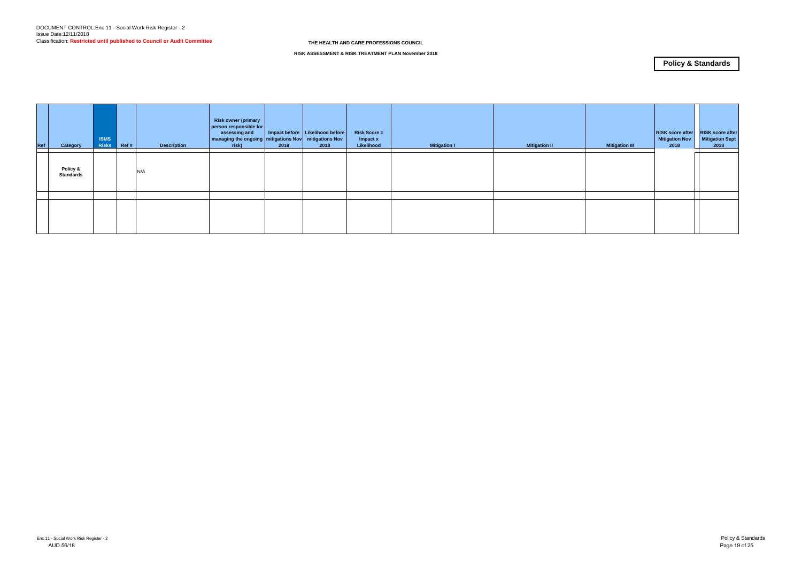| Ref | Category                     | <b>ISMS</b><br>Risks | Ref# | <b>Description</b> | <b>Risk owner (primary</b><br>person responsible for<br>assessing and<br>managing the ongoing mitigations Nov<br>risk) | 2018 | Impact before   Likelihood before  <br>mitigations Nov<br>2018 | <b>Risk Score =</b><br>Impact x<br>Likelihood | <b>Mitigation I</b> | <b>Mitigation II</b> | <b>Mitigation III</b> | <b>RISK score after</b><br><b>Mitigation Nov</b><br>2018 | <b>RISK score after</b><br><b>Mitigation Sept</b><br>2018 |
|-----|------------------------------|----------------------|------|--------------------|------------------------------------------------------------------------------------------------------------------------|------|----------------------------------------------------------------|-----------------------------------------------|---------------------|----------------------|-----------------------|----------------------------------------------------------|-----------------------------------------------------------|
|     | Policy &<br><b>Standards</b> |                      |      | N/A                |                                                                                                                        |      |                                                                |                                               |                     |                      |                       |                                                          |                                                           |
|     |                              |                      |      |                    |                                                                                                                        |      |                                                                |                                               |                     |                      |                       |                                                          |                                                           |
|     |                              |                      |      |                    |                                                                                                                        |      |                                                                |                                               |                     |                      |                       |                                                          |                                                           |

**RISK ASSESSMENT & RISK TREATMENT PLAN November 2018**

## **Policy & Standards**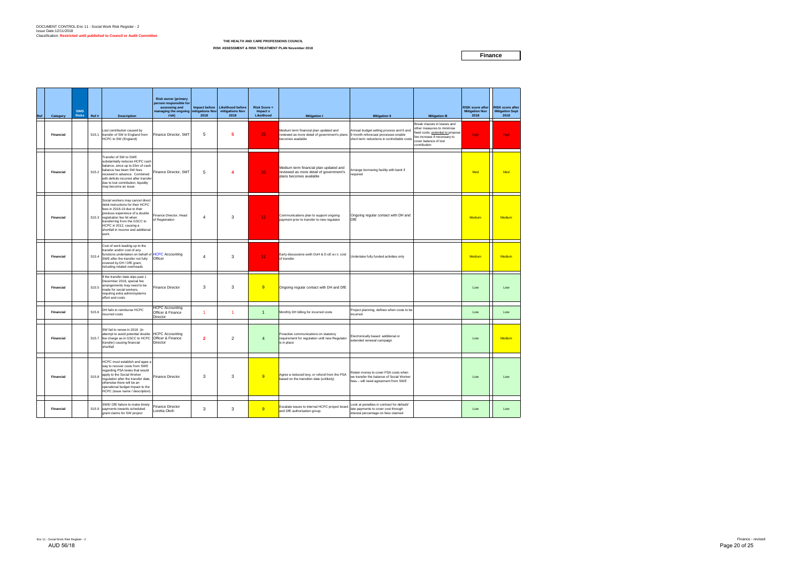## DOCUMENT CONTROL:Enc 11 - Social Work Risk Register - 2 Issue Date:12/11/2018 Classification: **Restricted until published to Council or Audit Committee**

| Ref | Category         | <b>ISMS</b><br><b>Risks</b> | Ref#              | <b>Description</b>                                                                                                                                                                                                                                                                     | <b>Risk owner (primary</b><br>person responsible for<br>assessing and<br>managing the ongoing mitigations Nov<br>risk) | 2018           | Impact before Likelihood before<br>mitigations Nov<br>2018 | <b>Risk Score =</b><br>Impact x<br>Likelihood | <b>Mitigation I</b>                                                                                          | <b>Mitigation II</b>                                                                                                          | <b>Mitigation III</b>                                                                                                                                                  | <b>RISK score after</b><br><b>Mitigation Nov</b><br>2018 | <b>RISK score after</b><br><b>Mitigation Sept</b><br>2018 |
|-----|------------------|-----------------------------|-------------------|----------------------------------------------------------------------------------------------------------------------------------------------------------------------------------------------------------------------------------------------------------------------------------------|------------------------------------------------------------------------------------------------------------------------|----------------|------------------------------------------------------------|-----------------------------------------------|--------------------------------------------------------------------------------------------------------------|-------------------------------------------------------------------------------------------------------------------------------|------------------------------------------------------------------------------------------------------------------------------------------------------------------------|----------------------------------------------------------|-----------------------------------------------------------|
|     | <b>Financial</b> |                             | S <sub>15.1</sub> | Lost contribution caused by<br>transfer of SW in England from<br>HCPC to SW (England)                                                                                                                                                                                                  | Finance Director, SMT                                                                                                  | 5              | 5                                                          | 25                                            | Medium term financial plan updated and<br>reviewed as more detail of government's plans<br>becomes available | Annual budget setting process and 6 and<br>9 month reforecast processes enable<br>short term reductions in controllable costs | Break clauses in leases and<br>other measures to minimise<br>ixed costs; potential to propose<br>fee increase if necessary to<br>cover balance of lost<br>contribution | High:                                                    | <b>High</b>                                               |
|     | Financial        |                             | S15.2             | Transfer of SW to SWE<br>substantially reduces HCPC cash<br>balance, since up to £5m of cash<br>balance has been SW fees<br>received in advance. Combined<br>with deficits incurred after transfer<br>due to lost contribution, liquidity<br>may become an issue                       | Finance Director, SMT                                                                                                  | 5              | $\overline{4}$                                             | 20                                            | Medium term financial plan updated and<br>reviewed as more detail of government's<br>plans becomes available | Arrange borrowing facility with bank if<br>required                                                                           |                                                                                                                                                                        | Med                                                      | Med                                                       |
|     | Financial        |                             |                   | Social workers may cancel direct<br>debit instructions for their HCPC<br>fees in 2018-19 due to their<br>previous experience of a double<br>S15.3 registration fee hit when<br>transferring from the GSCC to<br>HCPC in 2012, causing a<br>shortfall in income and additional<br>work. | Finance Director, Head<br>of Registration                                                                              | $\overline{4}$ | 3                                                          | 12 <sub>1</sub>                               | Communications plan to support ongoing<br>payment prior to transfer to new regulator                         | Ongoing regular contact with DH and<br><b>DfE</b>                                                                             |                                                                                                                                                                        | Medium                                                   | Medium                                                    |
|     | Financial        |                             | S15.4             | Cost of work leading up to the<br>transfer and/or cost of any<br>unctions undertaken on behalf of HCPC Accounting<br>SWE after the transfer not fully<br>covered by DH / DfE grant,<br>including related overheads                                                                     | Officer                                                                                                                | $\overline{4}$ | 3                                                          | 12 <sub>1</sub>                               | Early discussions woth DoH & D oE w.r.t. cost<br>of transfer                                                 | Undertake fully funded activities only                                                                                        |                                                                                                                                                                        | Medium                                                   | Medium                                                    |
|     | Financial        |                             | S <sub>15.5</sub> | If the transfer date slips past 1<br>December 2018, special fee<br>arrangements may need to be<br>made for social workers,<br>requiring extra admin/systems<br>effort and costs                                                                                                        | <b>Finance Director</b>                                                                                                | 3              | 3                                                          | 9                                             | Ongoing regular contact with DH and DfE                                                                      |                                                                                                                               |                                                                                                                                                                        | Low                                                      | Low                                                       |
|     | Financial        |                             | S15.6             | DH fails to reimburse HCPC<br>incurred costs                                                                                                                                                                                                                                           | <b>HCPC Accounting</b><br>Officer & Finance<br>Director                                                                | $\mathbf 1$    | -1                                                         | $\overline{1}$                                | Monthly DH billing for incurred costs                                                                        | Project planning, defines when costs to be<br>incurred                                                                        |                                                                                                                                                                        | Low                                                      | Low                                                       |
|     | <b>Financial</b> |                             | S15.7             | SW fail to renew in 2018 (in<br>attempt to avoid potential double<br>fee charge as in GSCC to HCPC<br>transfer) causing financial<br>shortfall                                                                                                                                         | <b>HCPC Accounting</b><br>Officer & Finance<br>Director                                                                | $\overline{2}$ | $\overline{2}$                                             | $\overline{4}$                                | Proactive communications on statutory<br>requirement for regulation until new Regulator<br>is in place       | Electronically based additional or<br>extended renewal campaign                                                               |                                                                                                                                                                        | Low                                                      | Medium                                                    |
|     | Financial        |                             | S15.8             | HCPC must establish and agee a<br>vay to recover costs from SWE<br>regarding PSA levies that would<br>apply to the Social Worker<br>regulation after the transfer date,<br>otherwise there will be an<br>operational budget impact to the<br>HCPC (issue name / description).          | <b>Finance Director</b>                                                                                                | 3              | 3                                                          | 9                                             | Agree a reduced levy, or refund from the PSA<br>based on the transition date (unlikely)                      | Retain money to cover PSA costs when<br>we transfer the balance of Social Worker<br>fees - will need agreement from SWE       |                                                                                                                                                                        | Low                                                      | Low                                                       |
|     | Financial        |                             |                   | SWE/ DfE failure to make timely<br>S15.9 payments towards scheduled<br>grant claims for SW project                                                                                                                                                                                     | <b>Finance Director</b><br>Loretta Okoh                                                                                | 3              | 3                                                          | 9                                             | Escalate issues to internal HCPC project board<br>and DfE authorisation group.                               | ook at penalties in contract for default/<br>late payments to cover cost through<br>interest percentage on fees claimed       |                                                                                                                                                                        | Low                                                      | Low                                                       |

#### **THE HEALTH AND CARE PROFESSIONS COUNCIL**

**RISK ASSESSMENT & RISK TREATMENT PLAN November 2018**

**Finance**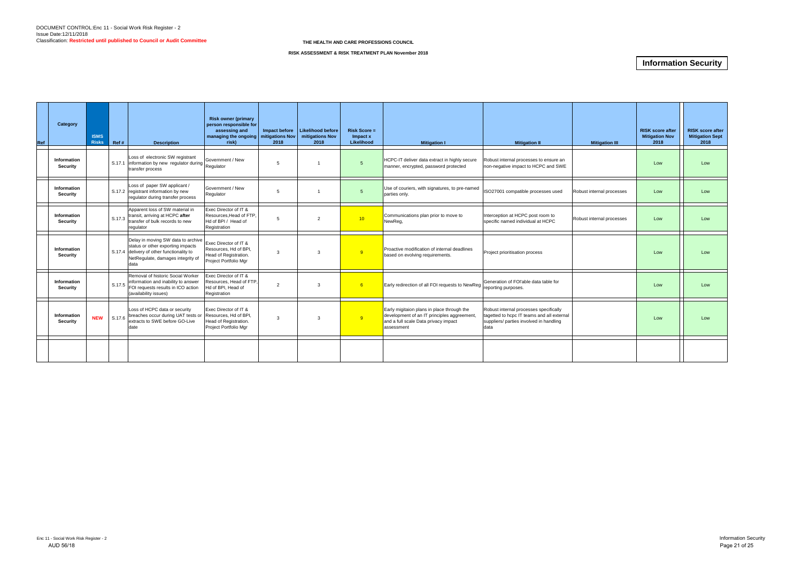| Ref | Category                              | <b>ISMS</b><br><b>Risks</b> | Ref #  | <b>Description</b>                                                                                                                                                | <b>Risk owner (primary</b><br>person responsible for<br>assessing and<br>managing the ongoing   mitigations Nov<br>risk) | Impact before<br>2018 | Likelihood before<br>mitigations Nov<br>2018 | $Risk Score =$<br>Impact x<br>Likelihood | <b>Mitigation I</b>                                                                                                                             | <b>Mitigation II</b>                                                                                                                    | <b>Mitigation III</b>     | <b>RISK score after</b><br><b>Mitigation Nov</b><br>2018 | <b>RISK score after</b><br><b>Mitigation Sept</b><br>2018 |
|-----|---------------------------------------|-----------------------------|--------|-------------------------------------------------------------------------------------------------------------------------------------------------------------------|--------------------------------------------------------------------------------------------------------------------------|-----------------------|----------------------------------------------|------------------------------------------|-------------------------------------------------------------------------------------------------------------------------------------------------|-----------------------------------------------------------------------------------------------------------------------------------------|---------------------------|----------------------------------------------------------|-----------------------------------------------------------|
|     | Information<br><b>Security</b>        |                             |        | Loss of electronic SW registrant<br>S.17.1 information by new regulator during Regulator<br>transfer process                                                      | Government / New                                                                                                         | -5                    | $\overline{1}$                               | 5                                        | HCPC-IT deliver data extract in highly secure<br>manner, encrypted, password protected                                                          | Robust internal processes to ensure an<br>non-negative impact to HCPC and SWE                                                           |                           | Low                                                      | Low                                                       |
|     | Information<br><b>Security</b>        |                             |        | Loss of paper SW applicant /<br>S.17.2 registrant information by new<br>regulator during transfer process                                                         | Government / New<br>Regulator                                                                                            | 5                     |                                              | $\overline{5}$                           | Use of couriers, with signatures, to pre-named<br>parties only.                                                                                 | ISO27001 compatible processes used                                                                                                      | Robust internal processes | Low                                                      | Low                                                       |
|     | Information<br>Security               |                             |        | Apparent loss of SW material in<br>S.17.3 transit, arriving at HCPC after<br>transfer of bulk records to new<br>regulator                                         | Exec Director of IT &<br>Resources.Head of FTP.<br>Hd of BPI / Head of<br>Registration                                   | 5                     | 2                                            | 10 <sup>1</sup>                          | Communications plan prior to move to<br>NewReg,                                                                                                 | Interception at HCPC post room to<br>specific named individual at HCPC                                                                  | Robust internal processes | Low                                                      | Low                                                       |
|     | <b>Information</b><br><b>Security</b> |                             |        | Delay in moving SW data to archive<br>status or other exporting impacts<br>S.17.4 delivery of other functionality to<br>NetRegulate, damages integrity of<br>data | Exec Director of IT &<br>Resources, Hd of BPI,<br>Head of Registration.<br>Project Portfolio Mgr                         | $\mathbf{3}$          | 3                                            | 9                                        | Proactive modification of internal deadlines<br>based on evolving requirements.                                                                 | Project prioritisation process                                                                                                          |                           | Low                                                      | Low                                                       |
|     | <b>Information</b><br><b>Security</b> |                             |        | Removal of historic Social Worker<br>information and inability to answer<br>$\vert$ S.17.5 $\vert$ FOI requests results in ICO action<br>(availability issues)    | Exec Director of IT &<br>Resources, Head of FTP.<br>Hd of BPI, Head of<br>Registration                                   | $\overline{2}$        | 3                                            | 6                                        | Early redirection of all FOI requests to NewReg                                                                                                 | Generation of FOI'able data table for<br>reporting purposes.                                                                            |                           | Low                                                      | Low                                                       |
|     | Information<br><b>Security</b>        | <b>NEW</b>                  | S.17.6 | Loss of HCPC data or security<br>breaches occur during UAT tests or<br>extracts to SWE before GO-Live<br>date                                                     | Exec Director of IT &<br>Resources, Hd of BPI,<br>Head of Registration.<br>Project Portfolio Mgr                         | 3                     | 3                                            | $-9$                                     | Early migitaion plans in place through the<br>development of an IT principles aggreement,<br>and a full scale Data privacy impact<br>assessment | Robust internal processes specifically<br>tagetted to hcpc IT teams and all external<br>suppliers/ parties involved in handling<br>data |                           | Low                                                      | Low                                                       |
|     |                                       |                             |        |                                                                                                                                                                   |                                                                                                                          |                       |                                              |                                          |                                                                                                                                                 |                                                                                                                                         |                           |                                                          |                                                           |

## **Information Security**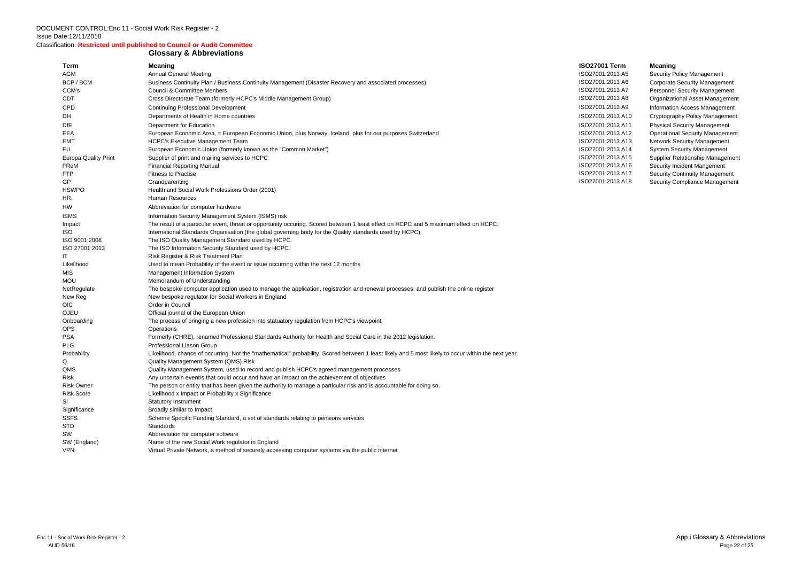Classification: **Restricted until published to Council or Audit Committee**

### **Glossary & Abbreviations**

| Term                        | <b>Meaning</b>                                                                                                                                      | <b>ISO27001 Term</b> | <b>Meaning</b>    |
|-----------------------------|-----------------------------------------------------------------------------------------------------------------------------------------------------|----------------------|-------------------|
| AGM                         | <b>Annual General Meeting</b>                                                                                                                       | ISO27001:2013 A5     | <b>Security F</b> |
| BCP / BCM                   | Business Continuity Plan / Business Continuity Management (Disaster Recovery and associated processes)                                              | ISO27001:2013 A6     | Corporate         |
| CCM's                       | Council & Committee Menbers                                                                                                                         | ISO27001:2013 A7     | Personne          |
| CDT                         | Cross Directorate Team (formerly HCPC's Middle Management Group)                                                                                    | ISO27001:2013 A8     | Organizat         |
| <b>CPD</b>                  | <b>Continuing Professional Development</b>                                                                                                          | ISO27001:2013 A9     | Informatic        |
| DH                          | Departments of Health in Home countries                                                                                                             | ISO27001:2013 A10    | Cryptogra         |
| <b>DfE</b>                  | Department for Education                                                                                                                            | ISO27001:2013 A11    | Physical S        |
| EEA                         | European Economic Area, = European Economic Union, plus Norway, Iceland, plus for our purposes Switzerland                                          | ISO27001:2013 A12    | Operation         |
| <b>EMT</b>                  | <b>HCPC's Executive Management Team</b>                                                                                                             | ISO27001:2013 A13    | Network S         |
| EU                          | European Economic Union (formerly known as the "Common Market")                                                                                     | ISO27001:2013 A14    | System S          |
| <b>Europa Quality Print</b> | Supplier of print and mailing services to HCPC                                                                                                      | ISO27001:2013 A15    | Supplier F        |
| FReM                        | <b>Financial Reporting Manual</b>                                                                                                                   | ISO27001:2013 A16    | Security li       |
| <b>FTP</b>                  | <b>Fitness to Practise</b>                                                                                                                          | ISO27001:2013 A17    | Security C        |
| <b>GP</b>                   | Grandparenting                                                                                                                                      | ISO27001:2013 A18    | Security C        |
| <b>HSWPO</b>                | Health and Social Work Professions Order (2001)                                                                                                     |                      |                   |
| HR.                         | Human Resources                                                                                                                                     |                      |                   |
| HW                          | Abbreviation for computer hardware                                                                                                                  |                      |                   |
| <b>ISMS</b>                 | Information Security Management System (ISMS) risk                                                                                                  |                      |                   |
| Impact                      | The result of a particular event, threat or opportunity occuring. Scored between 1 least effect on HCPC and 5 maximum effect on HCPC.               |                      |                   |
| <b>ISO</b>                  | International Standards Organisation (the global governing body for the Quality standards used by HCPC)                                             |                      |                   |
| ISO 9001:2008               | The ISO Quality Management Standard used by HCPC.                                                                                                   |                      |                   |
| ISO 27001:2013              | The ISO Information Security Standard used by HCPC.                                                                                                 |                      |                   |
| IT                          | Risk Register & Risk Treatment Plan                                                                                                                 |                      |                   |
| Likelihood                  | Used to mean Probability of the event or issue occurring within the next 12 months                                                                  |                      |                   |
| <b>MIS</b>                  | Management Information System                                                                                                                       |                      |                   |
| <b>MOU</b>                  | Memorandum of Understanding                                                                                                                         |                      |                   |
| NetRegulate                 | The bespoke computer application used to manage the application, registration and renewal processes, and publish the online register                |                      |                   |
| New Reg                     | New bespoke regulator for Social Workers in England                                                                                                 |                      |                   |
| <b>OIC</b>                  | Order in Council                                                                                                                                    |                      |                   |
| OJEU                        | Official journal of the European Union                                                                                                              |                      |                   |
| Onboarding                  | The process of bringing a new profession into statuatory regulation from HCPC's viewpoint                                                           |                      |                   |
| <b>OPS</b>                  | Operations                                                                                                                                          |                      |                   |
| <b>PSA</b>                  | Formerly (CHRE), renamed Professional Standards Authority for Health and Social Care in the 2012 legislation.                                       |                      |                   |
| <b>PLG</b>                  | Professional Liason Group                                                                                                                           |                      |                   |
| Probability                 | Likelihood, chance of occurring. Not the "mathematical" probability. Scored between 1 least likely and 5 most likely to occur within the next year. |                      |                   |
| Q                           | Quality Management System (QMS) Risk                                                                                                                |                      |                   |
| QMS                         | Quality Management System, used to record and publish HCPC's agreed management processes                                                            |                      |                   |
| <b>Risk</b>                 | Any uncertain event/s that could occur and have an impact on the achievement of objectives                                                          |                      |                   |
| <b>Risk Owner</b>           | The person or entity that has been given the authority to manage a particular risk and is accountable for doing so.                                 |                      |                   |
| <b>Risk Score</b>           | Likelihood x Impact or Probability x Significance                                                                                                   |                      |                   |
| SI                          | <b>Statutory Instrument</b>                                                                                                                         |                      |                   |
| Significance                | Broadly similar to Impact                                                                                                                           |                      |                   |
| <b>SSFS</b>                 | Scheme Specific Funding Standard, a set of standards relating to pensions services                                                                  |                      |                   |
| STD                         | Standards                                                                                                                                           |                      |                   |
| SW                          | Abbreviation for computer software                                                                                                                  |                      |                   |
| SW (England)                | Name of the new Social Work regulator in England                                                                                                    |                      |                   |
| <b>VPN</b>                  | Virtual Private Network, a method of securely accessing computer systems via the public internet                                                    |                      |                   |

| 1 Term    |           |
|-----------|-----------|
| :2013 A5  |           |
| :2013 A6  |           |
| :2013 A7  |           |
| :2013 A8  |           |
| :2013 A9  |           |
|           | :2013 A10 |
| :2013 A11 |           |
|           | :2013 A12 |
|           | :2013 A13 |
|           | :2013 A14 |
|           | :2013 A15 |
|           | :2013 A16 |
|           | :2013 A17 |
|           | :2013 A18 |

7001:2013 A5 Security Policy Management <sup>7</sup> Business Continuity Management (Disaster Corporate Security Management 7001:2013 A7 Personnel Security Management Too1:2013 A8 **C**rganizational Asset Management Too1:2013 A9 Information Access Management 7001:2013 A10 Cryptography Policy Management nticolation 1301:2013<br>1901:2013 A12 Physical Security Management<br>Therational Security Management **Operational Security Management** <sup>7</sup>001:2013 A13 Network Security Management O01:2013 A14 System Security Management Furoum Cuality Print Out-2013 And Supplier Relationship Management<br>1991:2013 A16 Security Incident Mangement Security Incident Mangement 7001:2013 A17 Security Continuity Management 7001:2013 A18 Security Compliance Management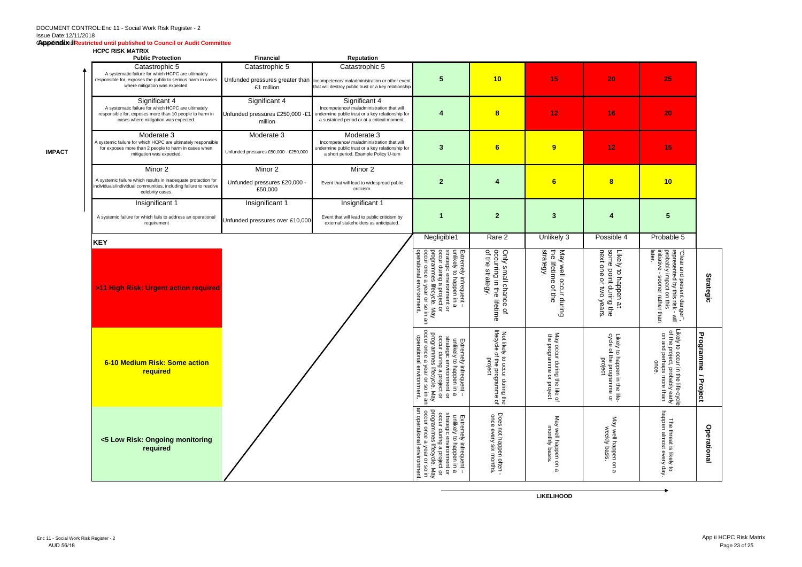#### Classification: **Appendix ii Restricted until published to Council or Audit Committee**

#### **HCPC RISK MATRIX**

**IMPACT**

| <b>NUTU NIJA MAINIA</b><br><b>Public Protection</b>                                                                                                                    | <b>Financial</b>                                            | <b>Reputation</b>                                                                                                                                             |                                                                                                                                                                                                              |                                                                                          |                                                                                     |                                                                                                                             |                                                                                                                                        |                             |
|------------------------------------------------------------------------------------------------------------------------------------------------------------------------|-------------------------------------------------------------|---------------------------------------------------------------------------------------------------------------------------------------------------------------|--------------------------------------------------------------------------------------------------------------------------------------------------------------------------------------------------------------|------------------------------------------------------------------------------------------|-------------------------------------------------------------------------------------|-----------------------------------------------------------------------------------------------------------------------------|----------------------------------------------------------------------------------------------------------------------------------------|-----------------------------|
| Catastrophic 5<br>A systematic failure for which HCPC are ultimately<br>responsible for, exposes the public to serious harm in cases<br>where mitigation was expected. | Catastrophic 5<br>£1 million                                | Catastrophic 5<br>Unfunded pressures greater than Incompetence/maladministration or other event<br>that will destroy public trust or a key relationship       | 5                                                                                                                                                                                                            | 10                                                                                       | 15                                                                                  | 20                                                                                                                          | 25                                                                                                                                     |                             |
| Significant 4<br>A systematic failure for which HCPC are ultimately<br>responsible for, exposes more than 10 people to harm in<br>cases where mitigation was expected. | Significant 4<br>Unfunded pressures £250,000 -£1<br>million | Significant 4<br>Incompetence/ maladministration that will<br>undermine public trust or a key relationship for<br>a sustained period or at a critical moment. | 4                                                                                                                                                                                                            | $\overline{\mathbf{8}}$                                                                  | 12 <sub>2</sub>                                                                     | 16                                                                                                                          | 20                                                                                                                                     |                             |
| Moderate 3<br>A systemic failure for which HCPC are ultimately responsible<br>for exposes more than 2 people to harm in cases when<br>mitigation was expected.         | Moderate 3<br>Unfunded pressures £50,000 - £250,000         | Moderate 3<br>Incompetence/ maladministration that will<br>undermine public trust or a key relationship for<br>a short period. Example Policy U-turn          | 3                                                                                                                                                                                                            | $6\phantom{1}$                                                                           | 9                                                                                   | 12                                                                                                                          | 15                                                                                                                                     |                             |
| Minor 2<br>A systemic failure which results in inadequate protection for<br>individuals/individual communities, including failure to resolve<br>celebrity cases.       | Minor 2<br>Unfunded pressures £20,000 -<br>£50,000          | Minor 2<br>Event that will lead to widespread public<br>criticism.                                                                                            | $\mathbf{2}$                                                                                                                                                                                                 | Δ                                                                                        | 6                                                                                   | $\bf{8}$                                                                                                                    | 10                                                                                                                                     |                             |
| Insignificant 1<br>A systemic failure for which fails to address an operational<br>requirement                                                                         | Insignificant 1<br>Unfunded pressures over £10,000          | Insignificant 1<br>Event that will lead to public criticism by<br>external stakeholders as anticipated.                                                       | <b>K</b>                                                                                                                                                                                                     | $\mathbf{2}$                                                                             | 3                                                                                   |                                                                                                                             | $5\phantom{1}$                                                                                                                         |                             |
| <b>KEY</b>                                                                                                                                                             |                                                             |                                                                                                                                                               | Negligible1                                                                                                                                                                                                  | Rare 2                                                                                   | Unlikely 3                                                                          | Possible 4                                                                                                                  | Probable 5                                                                                                                             |                             |
| >11 High Risk: Urgent action required                                                                                                                                  |                                                             |                                                                                                                                                               | Extremely infrequent –<br>unlikely to happen in a<br>strategic environment or<br>occur during a project or<br>programmes lifecycle. May<br>occur once a year or so in ar<br>operational environment.<br>Ψ    | occurring in the lifetime<br>of the strategy.<br>Only small chance<br>$\overline{a}$     | strategy.<br>유<br>아<br>May well occur<br>lifetime<br>$\overline{a}$<br>e∯<br>during | some<br>next<br>Likely<br>one<br>point<br>/ to happen at<br>epoint during the<br>õ<br>mo<br>years                           | later.<br>"Clear and present danger",<br>represented by this risk - will<br>probably impact on this<br>initiative - sooner rather than | <b>Strategic</b>            |
| 6-10 Medium Risk: Some action<br>required                                                                                                                              |                                                             |                                                                                                                                                               | programmes lifecycle. May<br>occur once a year or so in an<br>operational environment.<br>strategic environment or<br>occur during a project or<br>Extremely infrequent –<br>unlikely to happen in a         | lifecycle<br>Not likely to occur during the<br>lifecycle of the programme of<br>project. | Vay<br>the programme<br>occur during the life of<br>or project.                     | Likely<br>cycle o<br>$\overline{\mathbf{c}}$<br>$\overline{\circ}$<br>f the programme or<br>project.<br>happen in the life- | Likely to<br>Likely to occur in the life-cycle<br>of the project, probably early<br>on and perhaps more than<br>once.                  | Progra<br>emmi<br>/ Project |
| <5 Low Risk: Ongoing monitoring<br>required                                                                                                                            |                                                             |                                                                                                                                                               | an operational environment<br>programmes<br>occur once a<br>Extremely infrequent –<br>unlikely to happen in a<br>strategic environment or<br>occur during a project or<br>lifecycle.<br>year or so in<br>Vay | Does not happen often <sup>.</sup><br>once every six months.                             | May well happen on<br>monthly<br>basis<br>$\omega$                                  | May well happen on a<br>weekly basis.                                                                                       | <b>happen</b><br>The threat is likely to<br>almost every day.                                                                          | Operational                 |

**LIKELIHOOD**

 $\overline{\phantom{a}}$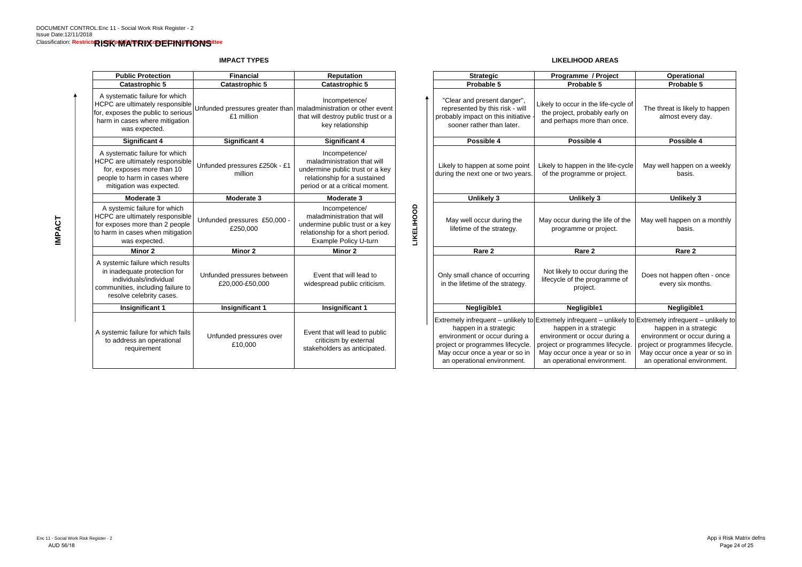## **IMPACT TYPES**

**LIKELIHOOD AREAS**

| <b>Financial</b>                              |                                                                                                                                                    |                                                                                       |                                                                                                                                                             |                                                                                                                                                             | Operational                                                                                                         |
|-----------------------------------------------|----------------------------------------------------------------------------------------------------------------------------------------------------|---------------------------------------------------------------------------------------|-------------------------------------------------------------------------------------------------------------------------------------------------------------|-------------------------------------------------------------------------------------------------------------------------------------------------------------|---------------------------------------------------------------------------------------------------------------------|
| <b>Catastrophic 5</b>                         | <b>Catastrophic 5</b>                                                                                                                              |                                                                                       | Probable 5                                                                                                                                                  | Probable 5                                                                                                                                                  | Probable 5                                                                                                          |
| £1 million                                    | Incompetence/<br>that will destroy public trust or a<br>key relationship                                                                           |                                                                                       | "Clear and present danger",<br>represented by this risk - will<br>probably impact on this initiative<br>sooner rather than later.                           | Likely to occur in the life-cycle of<br>the project, probably early on<br>and perhaps more than once.                                                       | The threat is likely to<br>almost every d                                                                           |
| <b>Significant 4</b>                          | <b>Significant 4</b>                                                                                                                               |                                                                                       | Possible 4                                                                                                                                                  | Possible 4                                                                                                                                                  | Possible 4                                                                                                          |
| Unfunded pressures £250k - £1<br>million      | Incompetence/<br>maladministration that will<br>undermine public trust or a key<br>relationship for a sustained<br>period or at a critical moment. |                                                                                       | Likely to happen at some point<br>during the next one or two years.                                                                                         | Likely to happen in the life-cycle<br>of the programme or project.                                                                                          | May well happen on<br>basis.                                                                                        |
| Moderate 3                                    | Moderate 3                                                                                                                                         |                                                                                       | <b>Unlikely 3</b>                                                                                                                                           | <b>Unlikely 3</b>                                                                                                                                           | <b>Unlikely 3</b>                                                                                                   |
| Unfunded pressures £50,000 -<br>£250,000      | Incompetence/<br>maladministration that will<br>undermine public trust or a key<br>relationship for a short period.<br>Example Policy U-turn       |                                                                                       | May well occur during the<br>lifetime of the strategy.                                                                                                      | May occur during the life of the<br>programme or project.                                                                                                   | May well happen on a<br>basis.                                                                                      |
| <b>Minor 2</b>                                | Minor 2                                                                                                                                            |                                                                                       | Rare 2                                                                                                                                                      | Rare 2                                                                                                                                                      | Rare 2                                                                                                              |
| Unfunded pressures between<br>£20,000-£50,000 | Event that will lead to<br>widespread public criticism.                                                                                            |                                                                                       | Only small chance of occurring<br>in the lifetime of the strategy.                                                                                          | Not likely to occur during the<br>lifecycle of the programme of<br>project.                                                                                 | Does not happen ofte<br>every six mont                                                                              |
| <b>Insignificant 1</b>                        | <b>Insignificant 1</b>                                                                                                                             |                                                                                       | Negligible1                                                                                                                                                 | Negligible1                                                                                                                                                 | Negligible1                                                                                                         |
| Unfunded pressures over<br>£10,000            | Event that will lead to public<br>criticism by external<br>stakeholders as anticipated.                                                            |                                                                                       | happen in a strategic<br>environment or occur during a<br>project or programmes lifecycle.<br>May occur once a year or so in<br>an operational environment. | happen in a strategic<br>environment or occur during a<br>project or programmes lifecycle.<br>May occur once a year or so in<br>an operational environment. | happen in a stra<br>environment or occu<br>project or programme:<br>May occur once a yea<br>an operational envir    |
|                                               |                                                                                                                                                    | <b>Reputation</b><br>Unfunded pressures greater than maladministration or other event | LIKELIHOOD                                                                                                                                                  | <b>Strategic</b>                                                                                                                                            | Programme / Project<br>Extremely infrequent – unlikely to Extremely infrequent – unlikely to Extremely infrequent – |

| <b>blic Protection</b>                                                                                                       | <b>Financial</b>                                                               | <b>Reputation</b>                                                                                                                                  |                          | <b>Strategic</b>                                                                                                                                                                                                                                                        | Programme / Project                                                                                                                                         | <b>Operational</b>                                                                                                                                          |
|------------------------------------------------------------------------------------------------------------------------------|--------------------------------------------------------------------------------|----------------------------------------------------------------------------------------------------------------------------------------------------|--------------------------|-------------------------------------------------------------------------------------------------------------------------------------------------------------------------------------------------------------------------------------------------------------------------|-------------------------------------------------------------------------------------------------------------------------------------------------------------|-------------------------------------------------------------------------------------------------------------------------------------------------------------|
| atastrophic 5                                                                                                                | <b>Catastrophic 5</b>                                                          | <b>Catastrophic 5</b>                                                                                                                              |                          | Probable 5                                                                                                                                                                                                                                                              | Probable 5                                                                                                                                                  | Probable 5                                                                                                                                                  |
| natic failure for which<br>e ultimately responsible<br>es the public to serious<br>cases where mitigation<br>was expected.   | Unfunded pressures greater than maladministration or other event<br>£1 million | Incompetence/<br>that will destroy public trust or a<br>key relationship                                                                           |                          | "Clear and present danger",<br>represented by this risk - will<br>probably impact on this initiative<br>sooner rather than later.                                                                                                                                       | likely to occur in the life-cycle of<br>the project, probably early on<br>and perhaps more than once.                                                       | The threat is likely to happen<br>almost every day.                                                                                                         |
| <b>Significant 4</b>                                                                                                         | Significant 4                                                                  | <b>Significant 4</b>                                                                                                                               |                          | Possible 4                                                                                                                                                                                                                                                              | Possible 4                                                                                                                                                  | Possible 4                                                                                                                                                  |
| natic failure for which<br>e ultimately responsible<br>poses more than 10<br>harm in cases where<br>ition was expected.      | Unfunded pressures £250k - £1<br>million                                       | Incompetence/<br>maladministration that will<br>undermine public trust or a key<br>relationship for a sustained<br>period or at a critical moment. |                          | Likely to happen at some point<br>during the next one or two years.                                                                                                                                                                                                     | Likely to happen in the life-cycle<br>of the programme or project.                                                                                          | May well happen on a weekly<br>basis.                                                                                                                       |
| Moderate 3                                                                                                                   | Moderate 3                                                                     | Moderate 3                                                                                                                                         |                          | <b>Unlikely 3</b>                                                                                                                                                                                                                                                       | <b>Unlikely 3</b>                                                                                                                                           | <b>Unlikely 3</b>                                                                                                                                           |
| mic failure for which<br>e ultimately responsible<br>es more than 2 people<br>cases when mitigation<br>was expected.         | Unfunded pressures £50,000<br>£250,000                                         | Incompetence/<br>maladministration that will<br>undermine public trust or a key<br>relationship for a short period.<br>Example Policy U-turn       | <b><i>LIKELIHOOD</i></b> | May well occur during the<br>lifetime of the strategy.                                                                                                                                                                                                                  | May occur during the life of the<br>programme or project.                                                                                                   | May well happen on a monthly<br>basis.                                                                                                                      |
| Minor 2                                                                                                                      | Minor 2                                                                        | Minor 2                                                                                                                                            |                          | Rare <sub>2</sub>                                                                                                                                                                                                                                                       | Rare 2                                                                                                                                                      | Rare 2                                                                                                                                                      |
| ic failure which results<br>equate protection for<br>viduals/individual<br>ties, including failure to<br>ve celebrity cases. | Unfunded pressures between<br>£20,000-£50,000                                  | Event that will lead to<br>widespread public criticism.                                                                                            |                          | Only small chance of occurring<br>in the lifetime of the strategy.                                                                                                                                                                                                      | Not likely to occur during the<br>lifecycle of the programme of<br>project.                                                                                 | Does not happen often - once<br>every six months.                                                                                                           |
| nsignificant 1                                                                                                               | <b>Insignificant 1</b>                                                         | <b>Insignificant 1</b>                                                                                                                             |                          | Negligible1                                                                                                                                                                                                                                                             | Negligible1                                                                                                                                                 | Negligible1                                                                                                                                                 |
| ic failure for which fails<br>ress an operational<br>requirement                                                             | Unfunded pressures over<br>£10,000                                             | Event that will lead to public<br>criticism by external<br>stakeholders as anticipated.                                                            |                          | Extremely infrequent – unlikely to Extremely infrequent – unlikely to Extremely infrequent – unlikely to<br>happen in a strategic<br>environment or occur during a<br>project or programmes lifecycle.<br>May occur once a year or so in<br>an operational environment. | happen in a strategic<br>environment or occur during a<br>project or programmes lifecycle.<br>May occur once a year or so in<br>an operational environment. | happen in a strategic<br>environment or occur during a<br>project or programmes lifecycle.<br>May occur once a year or so in<br>an operational environment. |